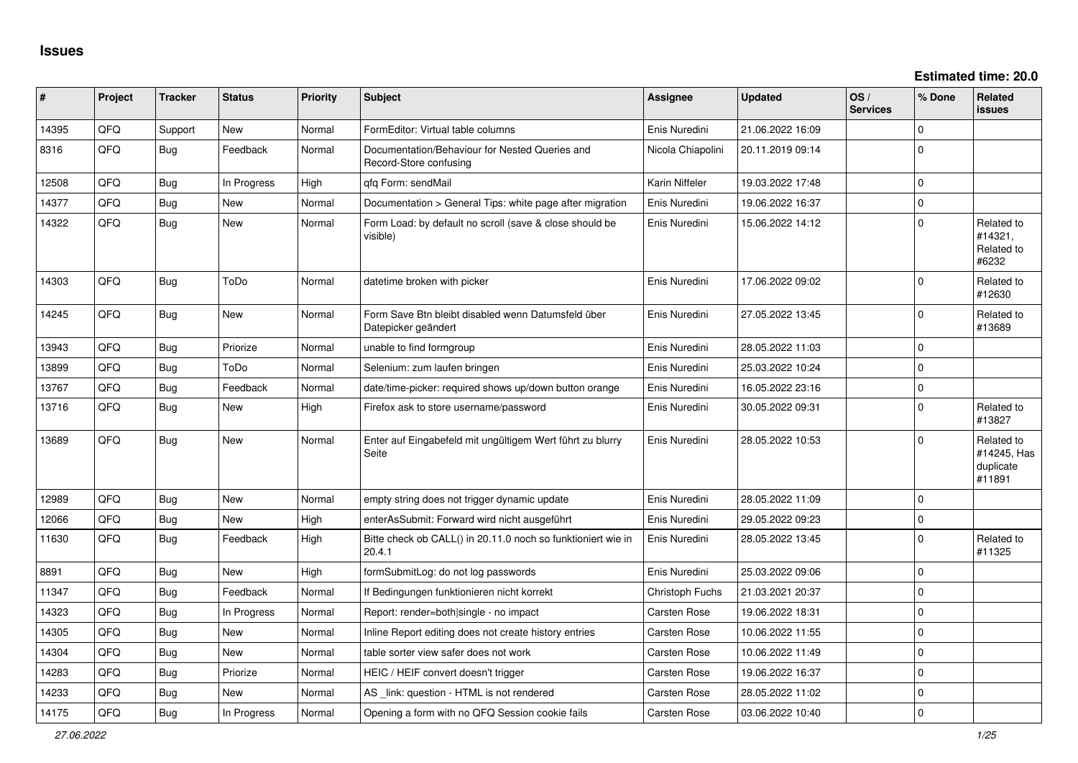| #     | Project | <b>Tracker</b> | <b>Status</b> | <b>Priority</b> | <b>Subject</b>                                                            | <b>Assignee</b>        | <b>Updated</b>   | OS/<br><b>Services</b> | % Done      | Related<br><b>issues</b>                         |
|-------|---------|----------------|---------------|-----------------|---------------------------------------------------------------------------|------------------------|------------------|------------------------|-------------|--------------------------------------------------|
| 14395 | QFQ     | Support        | <b>New</b>    | Normal          | FormEditor: Virtual table columns                                         | Enis Nuredini          | 21.06.2022 16:09 |                        | $\Omega$    |                                                  |
| 8316  | QFQ     | Bug            | Feedback      | Normal          | Documentation/Behaviour for Nested Queries and<br>Record-Store confusing  | Nicola Chiapolini      | 20.11.2019 09:14 |                        | $\Omega$    |                                                  |
| 12508 | QFQ     | Bug            | In Progress   | High            | qfq Form: sendMail                                                        | Karin Niffeler         | 19.03.2022 17:48 |                        | $\Omega$    |                                                  |
| 14377 | QFQ     | Bug            | New           | Normal          | Documentation > General Tips: white page after migration                  | Enis Nuredini          | 19.06.2022 16:37 |                        | 0 I         |                                                  |
| 14322 | QFQ     | Bug            | New           | Normal          | Form Load: by default no scroll (save & close should be<br>visible)       | Enis Nuredini          | 15.06.2022 14:12 |                        | $\Omega$    | Related to<br>#14321,<br>Related to<br>#6232     |
| 14303 | QFQ     | <b>Bug</b>     | ToDo          | Normal          | datetime broken with picker                                               | Enis Nuredini          | 17.06.2022 09:02 |                        | $\Omega$    | Related to<br>#12630                             |
| 14245 | QFQ     | <b>Bug</b>     | <b>New</b>    | Normal          | Form Save Btn bleibt disabled wenn Datumsfeld über<br>Datepicker geändert | Enis Nuredini          | 27.05.2022 13:45 |                        | $\Omega$    | Related to<br>#13689                             |
| 13943 | QFQ     | Bug            | Priorize      | Normal          | unable to find formgroup                                                  | Enis Nuredini          | 28.05.2022 11:03 |                        | 0 I         |                                                  |
| 13899 | QFQ     | Bug            | ToDo          | Normal          | Selenium: zum laufen bringen                                              | Enis Nuredini          | 25.03.2022 10:24 |                        | $\Omega$    |                                                  |
| 13767 | QFQ     | Bug            | Feedback      | Normal          | date/time-picker: required shows up/down button orange                    | Enis Nuredini          | 16.05.2022 23:16 |                        | $\Omega$    |                                                  |
| 13716 | QFQ     | Bug            | New           | High            | Firefox ask to store username/password                                    | Enis Nuredini          | 30.05.2022 09:31 |                        | l 0         | Related to<br>#13827                             |
| 13689 | QFQ     | Bug            | New           | Normal          | Enter auf Eingabefeld mit ungültigem Wert führt zu blurry<br>Seite        | Enis Nuredini          | 28.05.2022 10:53 |                        | $\mathbf 0$ | Related to<br>#14245, Has<br>duplicate<br>#11891 |
| 12989 | QFQ     | <b>Bug</b>     | <b>New</b>    | Normal          | empty string does not trigger dynamic update                              | Enis Nuredini          | 28.05.2022 11:09 |                        | $\Omega$    |                                                  |
| 12066 | QFQ     | <b>Bug</b>     | New           | High            | enterAsSubmit: Forward wird nicht ausgeführt                              | Enis Nuredini          | 29.05.2022 09:23 |                        | $\mathbf 0$ |                                                  |
| 11630 | QFQ     | Bug            | Feedback      | High            | Bitte check ob CALL() in 20.11.0 noch so funktioniert wie in<br>20.4.1    | Enis Nuredini          | 28.05.2022 13:45 |                        | $\mathbf 0$ | Related to<br>#11325                             |
| 8891  | QFQ     | Bug            | <b>New</b>    | High            | formSubmitLog: do not log passwords                                       | Enis Nuredini          | 25.03.2022 09:06 |                        | 0 I         |                                                  |
| 11347 | QFQ     | Bug            | Feedback      | Normal          | If Bedingungen funktionieren nicht korrekt                                | <b>Christoph Fuchs</b> | 21.03.2021 20:37 |                        | $\Omega$    |                                                  |
| 14323 | QFQ     | Bug            | In Progress   | Normal          | Report: render=both single - no impact                                    | <b>Carsten Rose</b>    | 19.06.2022 18:31 |                        | $\Omega$    |                                                  |
| 14305 | QFQ     | Bug            | <b>New</b>    | Normal          | Inline Report editing does not create history entries                     | Carsten Rose           | 10.06.2022 11:55 |                        | $\mathbf 0$ |                                                  |
| 14304 | QFQ     | Bug            | <b>New</b>    | Normal          | table sorter view safer does not work                                     | Carsten Rose           | 10.06.2022 11:49 |                        | l 0         |                                                  |
| 14283 | QFQ     | Bug            | Priorize      | Normal          | HEIC / HEIF convert doesn't trigger                                       | Carsten Rose           | 19.06.2022 16:37 |                        | $\mathbf 0$ |                                                  |
| 14233 | QFQ     | Bug            | New           | Normal          | AS link: question - HTML is not rendered                                  | Carsten Rose           | 28.05.2022 11:02 |                        | $\mathbf 0$ |                                                  |
| 14175 | QFQ     | Bug            | In Progress   | Normal          | Opening a form with no QFQ Session cookie fails                           | Carsten Rose           | 03.06.2022 10:40 |                        | ۱n          |                                                  |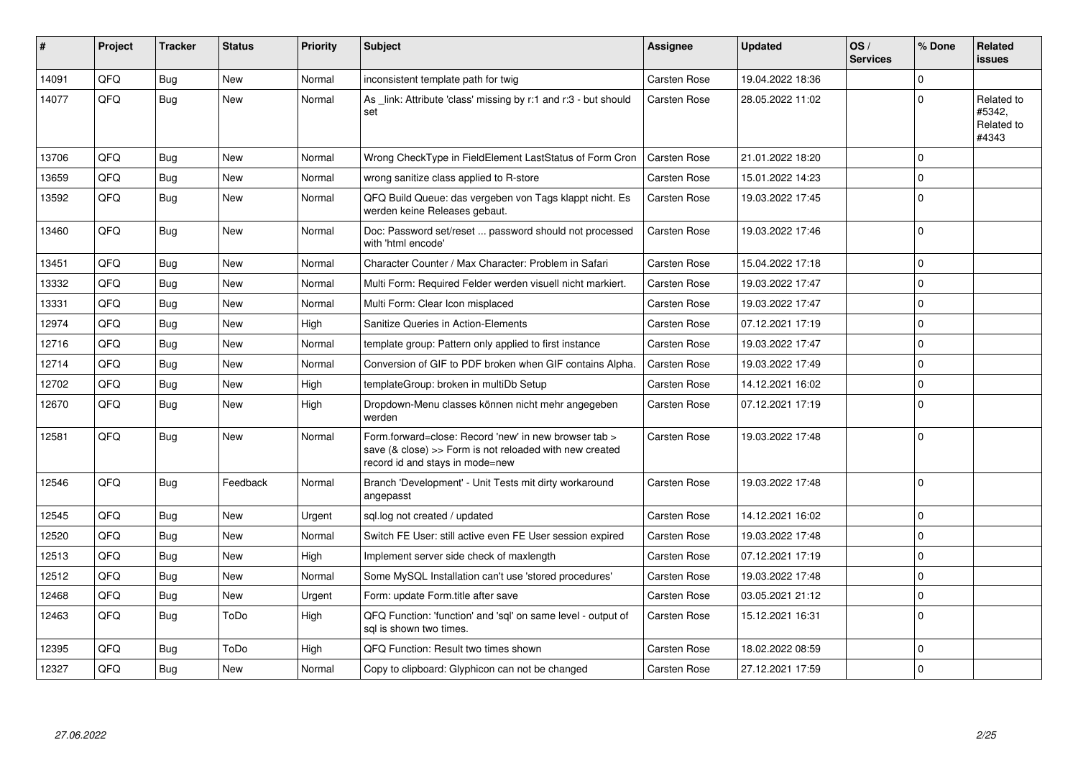| ∦     | Project | <b>Tracker</b> | <b>Status</b> | <b>Priority</b> | <b>Subject</b>                                                                                                                                      | <b>Assignee</b>     | <b>Updated</b>   | OS/<br><b>Services</b> | % Done         | Related<br><b>issues</b>                    |
|-------|---------|----------------|---------------|-----------------|-----------------------------------------------------------------------------------------------------------------------------------------------------|---------------------|------------------|------------------------|----------------|---------------------------------------------|
| 14091 | QFQ     | Bug            | <b>New</b>    | Normal          | inconsistent template path for twig                                                                                                                 | Carsten Rose        | 19.04.2022 18:36 |                        | $\Omega$       |                                             |
| 14077 | QFQ     | Bug            | <b>New</b>    | Normal          | As link: Attribute 'class' missing by r:1 and r:3 - but should<br>set                                                                               | <b>Carsten Rose</b> | 28.05.2022 11:02 |                        | 0              | Related to<br>#5342,<br>Related to<br>#4343 |
| 13706 | QFQ     | Bug            | New           | Normal          | Wrong CheckType in FieldElement LastStatus of Form Cron                                                                                             | Carsten Rose        | 21.01.2022 18:20 |                        | $\Omega$       |                                             |
| 13659 | QFQ     | <b>Bug</b>     | <b>New</b>    | Normal          | wrong sanitize class applied to R-store                                                                                                             | <b>Carsten Rose</b> | 15.01.2022 14:23 |                        | $\Omega$       |                                             |
| 13592 | QFQ     | Bug            | <b>New</b>    | Normal          | QFQ Build Queue: das vergeben von Tags klappt nicht. Es<br>werden keine Releases gebaut.                                                            | <b>Carsten Rose</b> | 19.03.2022 17:45 |                        | 0              |                                             |
| 13460 | QFQ     | Bug            | <b>New</b>    | Normal          | Doc: Password set/reset  password should not processed<br>with 'html encode'                                                                        | Carsten Rose        | 19.03.2022 17:46 |                        | 0              |                                             |
| 13451 | QFQ     | <b>Bug</b>     | <b>New</b>    | Normal          | Character Counter / Max Character: Problem in Safari                                                                                                | Carsten Rose        | 15.04.2022 17:18 |                        | $\Omega$       |                                             |
| 13332 | QFQ     | Bug            | <b>New</b>    | Normal          | Multi Form: Required Felder werden visuell nicht markiert.                                                                                          | <b>Carsten Rose</b> | 19.03.2022 17:47 |                        | 0              |                                             |
| 13331 | QFQ     | <b>Bug</b>     | <b>New</b>    | Normal          | Multi Form: Clear Icon misplaced                                                                                                                    | Carsten Rose        | 19.03.2022 17:47 |                        | $\Omega$       |                                             |
| 12974 | QFQ     | Bug            | <b>New</b>    | High            | Sanitize Queries in Action-Elements                                                                                                                 | Carsten Rose        | 07.12.2021 17:19 |                        | 0              |                                             |
| 12716 | QFQ     | <b>Bug</b>     | New           | Normal          | template group: Pattern only applied to first instance                                                                                              | <b>Carsten Rose</b> | 19.03.2022 17:47 |                        | 0              |                                             |
| 12714 | QFQ     | Bug            | New           | Normal          | Conversion of GIF to PDF broken when GIF contains Alpha.                                                                                            | Carsten Rose        | 19.03.2022 17:49 |                        | $\Omega$       |                                             |
| 12702 | QFQ     | Bug            | <b>New</b>    | High            | templateGroup: broken in multiDb Setup                                                                                                              | <b>Carsten Rose</b> | 14.12.2021 16:02 |                        | $\Omega$       |                                             |
| 12670 | QFQ     | Bug            | New           | High            | Dropdown-Menu classes können nicht mehr angegeben<br>werden                                                                                         | Carsten Rose        | 07.12.2021 17:19 |                        | $\mathbf 0$    |                                             |
| 12581 | QFQ     | Bug            | <b>New</b>    | Normal          | Form.forward=close: Record 'new' in new browser tab ><br>save (& close) >> Form is not reloaded with new created<br>record id and stays in mode=new | Carsten Rose        | 19.03.2022 17:48 |                        | $\overline{0}$ |                                             |
| 12546 | QFQ     | <b>Bug</b>     | Feedback      | Normal          | Branch 'Development' - Unit Tests mit dirty workaround<br>angepasst                                                                                 | <b>Carsten Rose</b> | 19.03.2022 17:48 |                        | 0              |                                             |
| 12545 | QFQ     | Bug            | New           | Urgent          | sql.log not created / updated                                                                                                                       | Carsten Rose        | 14.12.2021 16:02 |                        | 0              |                                             |
| 12520 | QFQ     | Bug            | New           | Normal          | Switch FE User: still active even FE User session expired                                                                                           | Carsten Rose        | 19.03.2022 17:48 |                        | $\overline{0}$ |                                             |
| 12513 | QFQ     | Bug            | <b>New</b>    | High            | Implement server side check of maxlength                                                                                                            | Carsten Rose        | 07.12.2021 17:19 |                        | $\mathbf 0$    |                                             |
| 12512 | QFQ     | Bug            | <b>New</b>    | Normal          | Some MySQL Installation can't use 'stored procedures'                                                                                               | <b>Carsten Rose</b> | 19.03.2022 17:48 |                        | $\Omega$       |                                             |
| 12468 | QFQ     | Bug            | New           | Urgent          | Form: update Form.title after save                                                                                                                  | Carsten Rose        | 03.05.2021 21:12 |                        | $\mathbf 0$    |                                             |
| 12463 | QFQ     | Bug            | ToDo          | High            | QFQ Function: 'function' and 'sql' on same level - output of<br>sal is shown two times.                                                             | <b>Carsten Rose</b> | 15.12.2021 16:31 |                        | 0              |                                             |
| 12395 | QFQ     | Bug            | ToDo          | High            | QFQ Function: Result two times shown                                                                                                                | Carsten Rose        | 18.02.2022 08:59 |                        | $\Omega$       |                                             |
| 12327 | QFQ     | Bug            | <b>New</b>    | Normal          | Copy to clipboard: Glyphicon can not be changed                                                                                                     | <b>Carsten Rose</b> | 27.12.2021 17:59 |                        | $\Omega$       |                                             |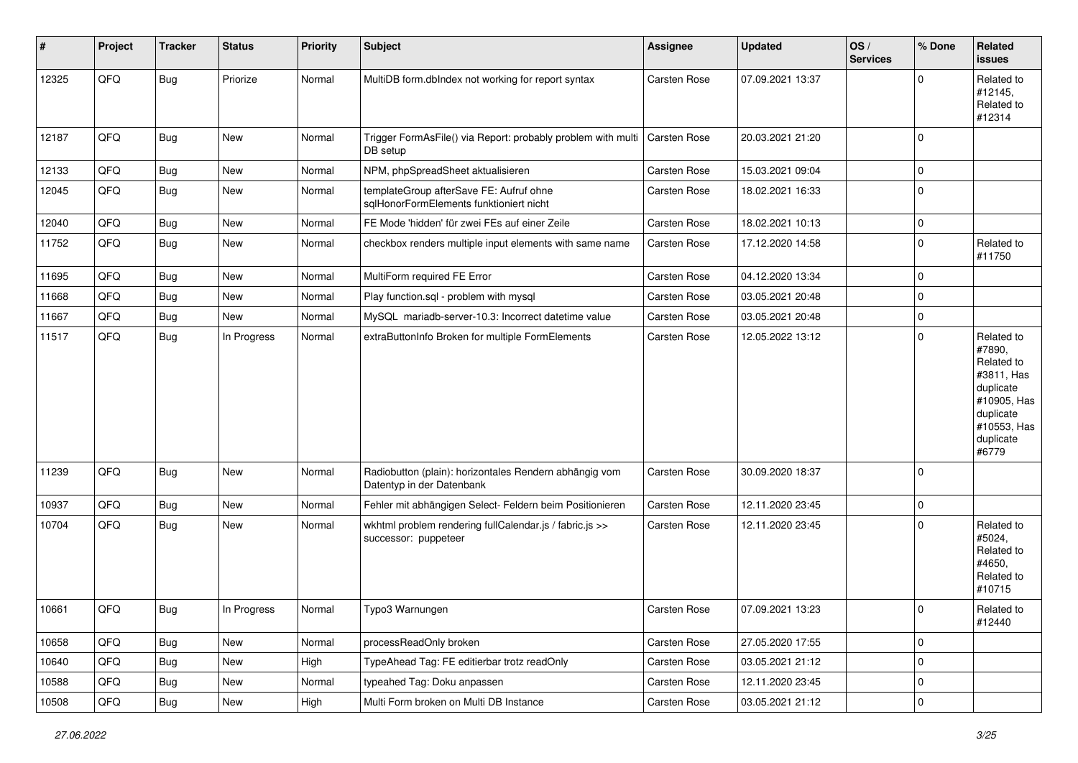| $\vert$ # | Project | <b>Tracker</b> | <b>Status</b> | <b>Priority</b> | <b>Subject</b>                                                                      | <b>Assignee</b>     | <b>Updated</b>   | OS/<br><b>Services</b> | % Done      | Related<br><b>issues</b>                                                                                                       |
|-----------|---------|----------------|---------------|-----------------|-------------------------------------------------------------------------------------|---------------------|------------------|------------------------|-------------|--------------------------------------------------------------------------------------------------------------------------------|
| 12325     | QFQ     | <b>Bug</b>     | Priorize      | Normal          | MultiDB form.dblndex not working for report syntax                                  | <b>Carsten Rose</b> | 07.09.2021 13:37 |                        | $\Omega$    | Related to<br>#12145,<br>Related to<br>#12314                                                                                  |
| 12187     | QFQ     | <b>Bug</b>     | New           | Normal          | Trigger FormAsFile() via Report: probably problem with multi<br>DB setup            | <b>Carsten Rose</b> | 20.03.2021 21:20 |                        | $\mathbf 0$ |                                                                                                                                |
| 12133     | QFQ     | <b>Bug</b>     | New           | Normal          | NPM, phpSpreadSheet aktualisieren                                                   | <b>Carsten Rose</b> | 15.03.2021 09:04 |                        | $\pmb{0}$   |                                                                                                                                |
| 12045     | QFQ     | Bug            | New           | Normal          | templateGroup afterSave FE: Aufruf ohne<br>sqlHonorFormElements funktioniert nicht  | Carsten Rose        | 18.02.2021 16:33 |                        | 0           |                                                                                                                                |
| 12040     | QFQ     | Bug            | New           | Normal          | FE Mode 'hidden' für zwei FEs auf einer Zeile                                       | <b>Carsten Rose</b> | 18.02.2021 10:13 |                        | $\mathbf 0$ |                                                                                                                                |
| 11752     | QFQ     | Bug            | New           | Normal          | checkbox renders multiple input elements with same name                             | Carsten Rose        | 17.12.2020 14:58 |                        | $\mathbf 0$ | Related to<br>#11750                                                                                                           |
| 11695     | QFQ     | <b>Bug</b>     | New           | Normal          | MultiForm required FE Error                                                         | <b>Carsten Rose</b> | 04.12.2020 13:34 |                        | $\mathbf 0$ |                                                                                                                                |
| 11668     | QFQ     | <b>Bug</b>     | New           | Normal          | Play function.sql - problem with mysql                                              | Carsten Rose        | 03.05.2021 20:48 |                        | $\mathbf 0$ |                                                                                                                                |
| 11667     | QFQ     | <b>Bug</b>     | New           | Normal          | MySQL mariadb-server-10.3: Incorrect datetime value                                 | <b>Carsten Rose</b> | 03.05.2021 20:48 |                        | $\mathbf 0$ |                                                                                                                                |
| 11517     | QFQ     | Bug            | In Progress   | Normal          | extraButtonInfo Broken for multiple FormElements                                    | Carsten Rose        | 12.05.2022 13:12 |                        | $\mathbf 0$ | Related to<br>#7890,<br>Related to<br>#3811, Has<br>duplicate<br>#10905, Has<br>duplicate<br>#10553, Has<br>duplicate<br>#6779 |
| 11239     | QFQ     | <b>Bug</b>     | New           | Normal          | Radiobutton (plain): horizontales Rendern abhängig vom<br>Datentyp in der Datenbank | <b>Carsten Rose</b> | 30.09.2020 18:37 |                        | $\mathbf 0$ |                                                                                                                                |
| 10937     | QFQ     | <b>Bug</b>     | New           | Normal          | Fehler mit abhängigen Select- Feldern beim Positionieren                            | <b>Carsten Rose</b> | 12.11.2020 23:45 |                        | $\mathbf 0$ |                                                                                                                                |
| 10704     | QFQ     | <b>Bug</b>     | New           | Normal          | wkhtml problem rendering fullCalendar.js / fabric.js >><br>successor: puppeteer     | Carsten Rose        | 12.11.2020 23:45 |                        | $\Omega$    | Related to<br>#5024,<br>Related to<br>#4650,<br>Related to<br>#10715                                                           |
| 10661     | QFQ     | <b>Bug</b>     | In Progress   | Normal          | Typo3 Warnungen                                                                     | Carsten Rose        | 07.09.2021 13:23 |                        | $\pmb{0}$   | Related to<br>#12440                                                                                                           |
| 10658     | QFQ     | Bug            | New           | Normal          | processReadOnly broken                                                              | Carsten Rose        | 27.05.2020 17:55 |                        | $\pmb{0}$   |                                                                                                                                |
| 10640     | QFQ     | <b>Bug</b>     | New           | High            | TypeAhead Tag: FE editierbar trotz readOnly                                         | Carsten Rose        | 03.05.2021 21:12 |                        | $\mathbf 0$ |                                                                                                                                |
| 10588     | QFQ     | Bug            | New           | Normal          | typeahed Tag: Doku anpassen                                                         | Carsten Rose        | 12.11.2020 23:45 |                        | $\mathbf 0$ |                                                                                                                                |
| 10508     | QFQ     | <b>Bug</b>     | New           | High            | Multi Form broken on Multi DB Instance                                              | Carsten Rose        | 03.05.2021 21:12 |                        | $\pmb{0}$   |                                                                                                                                |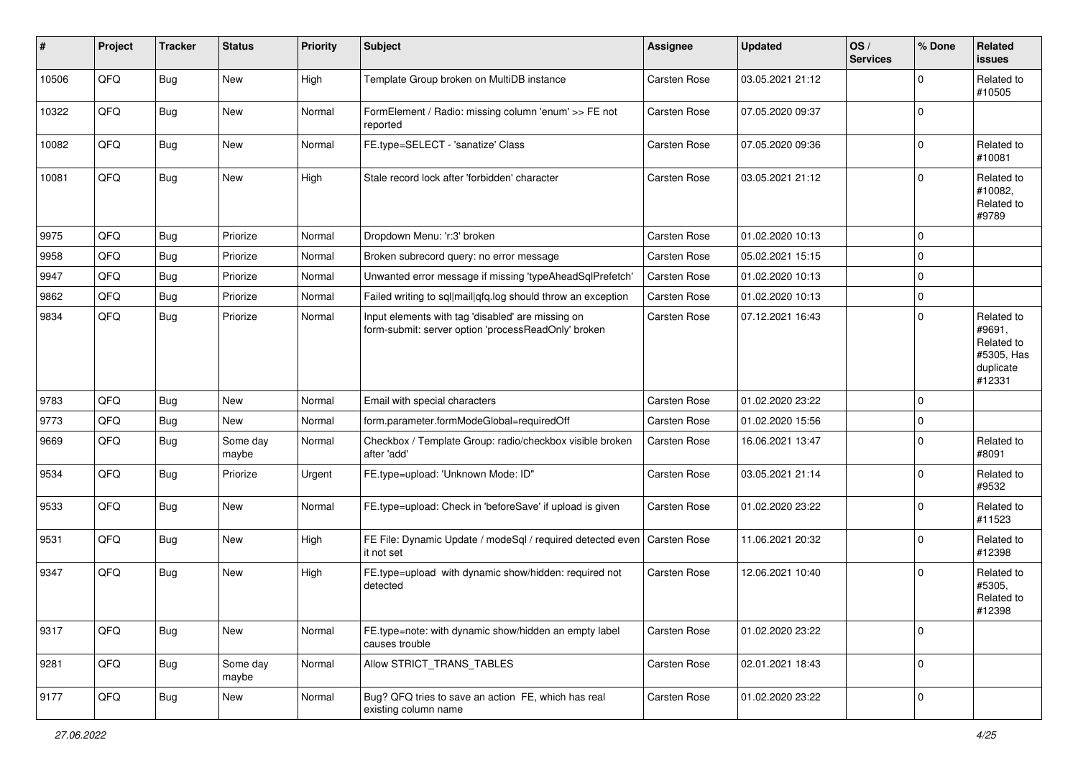| #     | Project | <b>Tracker</b> | <b>Status</b>     | <b>Priority</b> | <b>Subject</b>                                                                                           | Assignee            | <b>Updated</b>   | OS/<br><b>Services</b> | % Done      | Related<br>issues                                                       |
|-------|---------|----------------|-------------------|-----------------|----------------------------------------------------------------------------------------------------------|---------------------|------------------|------------------------|-------------|-------------------------------------------------------------------------|
| 10506 | QFQ     | Bug            | New               | High            | Template Group broken on MultiDB instance                                                                | <b>Carsten Rose</b> | 03.05.2021 21:12 |                        | $\Omega$    | Related to<br>#10505                                                    |
| 10322 | QFQ     | Bug            | New               | Normal          | FormElement / Radio: missing column 'enum' >> FE not<br>reported                                         | Carsten Rose        | 07.05.2020 09:37 |                        | $\Omega$    |                                                                         |
| 10082 | QFQ     | Bug            | New               | Normal          | FE.type=SELECT - 'sanatize' Class                                                                        | Carsten Rose        | 07.05.2020 09:36 |                        | $\Omega$    | Related to<br>#10081                                                    |
| 10081 | QFQ     | Bug            | New               | High            | Stale record lock after 'forbidden' character                                                            | <b>Carsten Rose</b> | 03.05.2021 21:12 |                        | $\Omega$    | Related to<br>#10082,<br>Related to<br>#9789                            |
| 9975  | QFQ     | Bug            | Priorize          | Normal          | Dropdown Menu: 'r:3' broken                                                                              | Carsten Rose        | 01.02.2020 10:13 |                        | $\mathbf 0$ |                                                                         |
| 9958  | QFQ     | Bug            | Priorize          | Normal          | Broken subrecord query: no error message                                                                 | Carsten Rose        | 05.02.2021 15:15 |                        | $\Omega$    |                                                                         |
| 9947  | QFQ     | Bug            | Priorize          | Normal          | Unwanted error message if missing 'typeAheadSqlPrefetch'                                                 | Carsten Rose        | 01.02.2020 10:13 |                        | $\Omega$    |                                                                         |
| 9862  | QFQ     | Bug            | Priorize          | Normal          | Failed writing to sql mail qfq.log should throw an exception                                             | Carsten Rose        | 01.02.2020 10:13 |                        | $\Omega$    |                                                                         |
| 9834  | QFQ     | <b>Bug</b>     | Priorize          | Normal          | Input elements with tag 'disabled' are missing on<br>form-submit: server option 'processReadOnly' broken | Carsten Rose        | 07.12.2021 16:43 |                        | $\Omega$    | Related to<br>#9691,<br>Related to<br>#5305, Has<br>duplicate<br>#12331 |
| 9783  | QFQ     | Bug            | New               | Normal          | Email with special characters                                                                            | Carsten Rose        | 01.02.2020 23:22 |                        | $\mathbf 0$ |                                                                         |
| 9773  | QFQ     | Bug            | New               | Normal          | form.parameter.formModeGlobal=requiredOff                                                                | Carsten Rose        | 01.02.2020 15:56 |                        | $\Omega$    |                                                                         |
| 9669  | QFQ     | Bug            | Some day<br>maybe | Normal          | Checkbox / Template Group: radio/checkbox visible broken<br>after 'add'                                  | Carsten Rose        | 16.06.2021 13:47 |                        | $\Omega$    | Related to<br>#8091                                                     |
| 9534  | QFQ     | Bug            | Priorize          | Urgent          | FE.type=upload: 'Unknown Mode: ID"                                                                       | Carsten Rose        | 03.05.2021 21:14 |                        | $\mathbf 0$ | Related to<br>#9532                                                     |
| 9533  | QFQ     | Bug            | New               | Normal          | FE.type=upload: Check in 'beforeSave' if upload is given                                                 | Carsten Rose        | 01.02.2020 23:22 |                        | $\Omega$    | Related to<br>#11523                                                    |
| 9531  | QFQ     | Bug            | New               | High            | FE File: Dynamic Update / modeSql / required detected even<br>it not set                                 | <b>Carsten Rose</b> | 11.06.2021 20:32 |                        | $\Omega$    | Related to<br>#12398                                                    |
| 9347  | QFQ     | Bug            | New               | High            | FE.type=upload with dynamic show/hidden: required not<br>detected                                        | <b>Carsten Rose</b> | 12.06.2021 10:40 |                        | $\Omega$    | Related to<br>#5305,<br>Related to<br>#12398                            |
| 9317  | QFQ     | Bug            | New               | Normal          | FE.type=note: with dynamic show/hidden an empty label<br>causes trouble                                  | Carsten Rose        | 01.02.2020 23:22 |                        | $\mathbf 0$ |                                                                         |
| 9281  | QFQ     | Bug            | Some day<br>maybe | Normal          | Allow STRICT_TRANS_TABLES                                                                                | Carsten Rose        | 02.01.2021 18:43 |                        | $\mathbf 0$ |                                                                         |
| 9177  | QFQ     | Bug            | New               | Normal          | Bug? QFQ tries to save an action FE, which has real<br>existing column name                              | Carsten Rose        | 01.02.2020 23:22 |                        | 0           |                                                                         |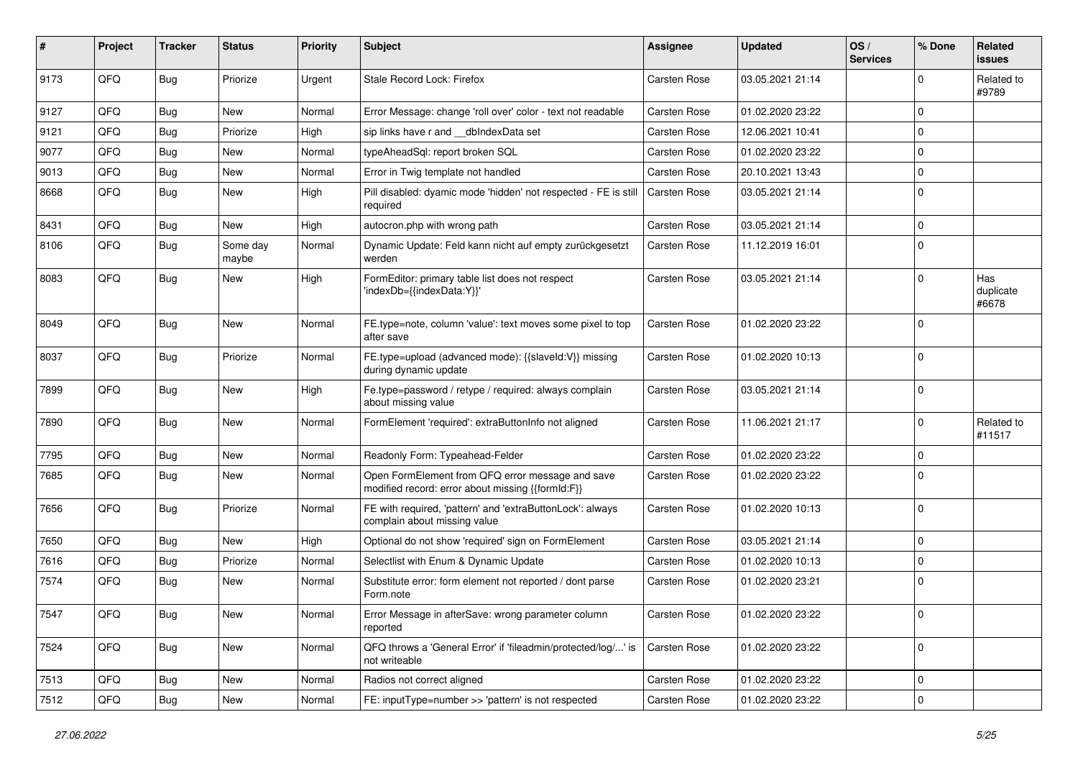| #    | Project | <b>Tracker</b> | <b>Status</b>     | <b>Priority</b> | <b>Subject</b>                                                                                        | Assignee            | <b>Updated</b>   | OS/<br><b>Services</b> | % Done       | Related<br>issues         |
|------|---------|----------------|-------------------|-----------------|-------------------------------------------------------------------------------------------------------|---------------------|------------------|------------------------|--------------|---------------------------|
| 9173 | QFQ     | Bug            | Priorize          | Urgent          | Stale Record Lock: Firefox                                                                            | Carsten Rose        | 03.05.2021 21:14 |                        | $\Omega$     | Related to<br>#9789       |
| 9127 | QFQ     | <b>Bug</b>     | New               | Normal          | Error Message: change 'roll over' color - text not readable                                           | Carsten Rose        | 01.02.2020 23:22 |                        | $\Omega$     |                           |
| 9121 | QFQ     | Bug            | Priorize          | High            | sip links have r and __dbIndexData set                                                                | Carsten Rose        | 12.06.2021 10:41 |                        | $\Omega$     |                           |
| 9077 | QFQ     | <b>Bug</b>     | New               | Normal          | typeAheadSql: report broken SQL                                                                       | Carsten Rose        | 01.02.2020 23:22 |                        | $\Omega$     |                           |
| 9013 | QFQ     | <b>Bug</b>     | New               | Normal          | Error in Twig template not handled                                                                    | Carsten Rose        | 20.10.2021 13:43 |                        | $\mathbf 0$  |                           |
| 8668 | QFQ     | Bug            | New               | High            | Pill disabled: dyamic mode 'hidden' not respected - FE is still<br>required                           | <b>Carsten Rose</b> | 03.05.2021 21:14 |                        | $\mathbf 0$  |                           |
| 8431 | QFQ     | <b>Bug</b>     | New               | High            | autocron.php with wrong path                                                                          | Carsten Rose        | 03.05.2021 21:14 |                        | $\mathbf 0$  |                           |
| 8106 | QFQ     | Bug            | Some day<br>maybe | Normal          | Dynamic Update: Feld kann nicht auf empty zurückgesetzt<br>werden                                     | Carsten Rose        | 11.12.2019 16:01 |                        | $\Omega$     |                           |
| 8083 | QFQ     | Bug            | New               | High            | FormEditor: primary table list does not respect<br>'indexDb={{indexData:Y}}'                          | Carsten Rose        | 03.05.2021 21:14 |                        | $\Omega$     | Has<br>duplicate<br>#6678 |
| 8049 | QFQ     | Bug            | <b>New</b>        | Normal          | FE.type=note, column 'value': text moves some pixel to top<br>after save                              | Carsten Rose        | 01.02.2020 23:22 |                        | $\mathbf 0$  |                           |
| 8037 | QFQ     | Bug            | Priorize          | Normal          | FE.type=upload (advanced mode): {{slaveld:V}} missing<br>during dynamic update                        | Carsten Rose        | 01.02.2020 10:13 |                        | $\mathbf 0$  |                           |
| 7899 | QFQ     | Bug            | New               | High            | Fe.type=password / retype / required: always complain<br>about missing value                          | Carsten Rose        | 03.05.2021 21:14 |                        | $\Omega$     |                           |
| 7890 | QFQ     | Bug            | New               | Normal          | FormElement 'required': extraButtonInfo not aligned                                                   | <b>Carsten Rose</b> | 11.06.2021 21:17 |                        | $\Omega$     | Related to<br>#11517      |
| 7795 | QFQ     | <b>Bug</b>     | New               | Normal          | Readonly Form: Typeahead-Felder                                                                       | Carsten Rose        | 01.02.2020 23:22 |                        | $\mathbf 0$  |                           |
| 7685 | QFQ     | Bug            | New               | Normal          | Open FormElement from QFQ error message and save<br>modified record: error about missing {{formId:F}} | Carsten Rose        | 01.02.2020 23:22 |                        | $\Omega$     |                           |
| 7656 | QFQ     | Bug            | Priorize          | Normal          | FE with required, 'pattern' and 'extraButtonLock': always<br>complain about missing value             | Carsten Rose        | 01.02.2020 10:13 |                        | $\mathbf 0$  |                           |
| 7650 | QFQ     | <b>Bug</b>     | New               | High            | Optional do not show 'required' sign on FormElement                                                   | <b>Carsten Rose</b> | 03.05.2021 21:14 |                        | $\Omega$     |                           |
| 7616 | QFQ     | <b>Bug</b>     | Priorize          | Normal          | Selectlist with Enum & Dynamic Update                                                                 | Carsten Rose        | 01.02.2020 10:13 |                        | $\mathbf 0$  |                           |
| 7574 | QFQ     | Bug            | New               | Normal          | Substitute error: form element not reported / dont parse<br>Form.note                                 | Carsten Rose        | 01.02.2020 23:21 |                        | $\Omega$     |                           |
| 7547 | QFQ     | Bug            | New               | Normal          | Error Message in afterSave: wrong parameter column<br>reported                                        | <b>Carsten Rose</b> | 01.02.2020 23:22 |                        | l 0          |                           |
| 7524 | QFQ     | Bug            | New               | Normal          | QFQ throws a 'General Error' if 'fileadmin/protected/log/' is<br>not writeable                        | Carsten Rose        | 01.02.2020 23:22 |                        | 0            |                           |
| 7513 | QFQ     | Bug            | New               | Normal          | Radios not correct aligned                                                                            | Carsten Rose        | 01.02.2020 23:22 |                        | 0            |                           |
| 7512 | QFQ     | Bug            | New               | Normal          | FE: inputType=number >> 'pattern' is not respected                                                    | Carsten Rose        | 01.02.2020 23:22 |                        | $\mathbf{0}$ |                           |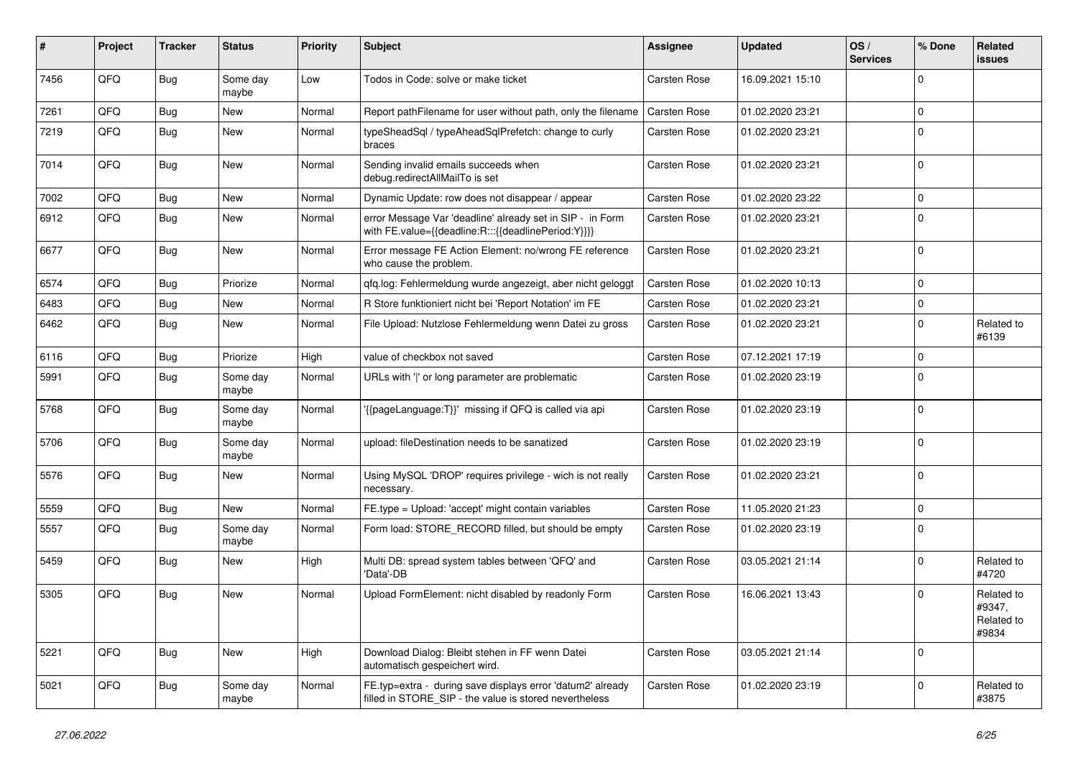| #    | Project | <b>Tracker</b> | <b>Status</b>     | <b>Priority</b> | Subject                                                                                                              | <b>Assignee</b>     | <b>Updated</b>   | OS/<br><b>Services</b> | % Done         | Related<br>issues                           |
|------|---------|----------------|-------------------|-----------------|----------------------------------------------------------------------------------------------------------------------|---------------------|------------------|------------------------|----------------|---------------------------------------------|
| 7456 | QFQ     | Bug            | Some day<br>maybe | Low             | Todos in Code: solve or make ticket                                                                                  | <b>Carsten Rose</b> | 16.09.2021 15:10 |                        | $\Omega$       |                                             |
| 7261 | QFQ     | Bug            | New               | Normal          | Report pathFilename for user without path, only the filename                                                         | <b>Carsten Rose</b> | 01.02.2020 23:21 |                        | $\Omega$       |                                             |
| 7219 | QFQ     | <b>Bug</b>     | New               | Normal          | typeSheadSql / typeAheadSqlPrefetch: change to curly<br>braces                                                       | Carsten Rose        | 01.02.2020 23:21 |                        | $\Omega$       |                                             |
| 7014 | QFQ     | Bug            | New               | Normal          | Sending invalid emails succeeds when<br>debug.redirectAllMailTo is set                                               | Carsten Rose        | 01.02.2020 23:21 |                        | $\overline{0}$ |                                             |
| 7002 | QFQ     | Bug            | New               | Normal          | Dynamic Update: row does not disappear / appear                                                                      | Carsten Rose        | 01.02.2020 23:22 |                        | $\Omega$       |                                             |
| 6912 | QFQ     | Bug            | <b>New</b>        | Normal          | error Message Var 'deadline' already set in SIP - in Form<br>with FE.value={{deadline:R:::{{deadlinePeriod:Y}}}}     | Carsten Rose        | 01.02.2020 23:21 |                        | $\mathbf 0$    |                                             |
| 6677 | QFQ     | Bug            | New               | Normal          | Error message FE Action Element: no/wrong FE reference<br>who cause the problem.                                     | Carsten Rose        | 01.02.2020 23:21 |                        | $\Omega$       |                                             |
| 6574 | QFQ     | Bug            | Priorize          | Normal          | qfq.log: Fehlermeldung wurde angezeigt, aber nicht geloggt                                                           | Carsten Rose        | 01.02.2020 10:13 |                        | $\mathbf 0$    |                                             |
| 6483 | QFQ     | <b>Bug</b>     | New               | Normal          | R Store funktioniert nicht bei 'Report Notation' im FE                                                               | Carsten Rose        | 01.02.2020 23:21 |                        | $\mathbf 0$    |                                             |
| 6462 | QFQ     | Bug            | New               | Normal          | File Upload: Nutzlose Fehlermeldung wenn Datei zu gross                                                              | Carsten Rose        | 01.02.2020 23:21 |                        | $\Omega$       | Related to<br>#6139                         |
| 6116 | QFQ     | <b>Bug</b>     | Priorize          | High            | value of checkbox not saved                                                                                          | Carsten Rose        | 07.12.2021 17:19 |                        | $\mathbf 0$    |                                             |
| 5991 | QFQ     | <b>Bug</b>     | Some day<br>maybe | Normal          | URLs with ' ' or long parameter are problematic                                                                      | Carsten Rose        | 01.02.2020 23:19 |                        | $\mathbf 0$    |                                             |
| 5768 | QFQ     | Bug            | Some day<br>maybe | Normal          | '{{pageLanguage:T}}' missing if QFQ is called via api                                                                | Carsten Rose        | 01.02.2020 23:19 |                        | $\Omega$       |                                             |
| 5706 | QFQ     | Bug            | Some day<br>maybe | Normal          | upload: fileDestination needs to be sanatized                                                                        | Carsten Rose        | 01.02.2020 23:19 |                        | $\Omega$       |                                             |
| 5576 | QFQ     | <b>Bug</b>     | New               | Normal          | Using MySQL 'DROP' requires privilege - wich is not really<br>necessary.                                             | Carsten Rose        | 01.02.2020 23:21 |                        | $\overline{0}$ |                                             |
| 5559 | QFQ     | Bug            | <b>New</b>        | Normal          | FE.type = Upload: 'accept' might contain variables                                                                   | Carsten Rose        | 11.05.2020 21:23 |                        | $\mathbf 0$    |                                             |
| 5557 | QFQ     | Bug            | Some day<br>maybe | Normal          | Form load: STORE RECORD filled, but should be empty                                                                  | Carsten Rose        | 01.02.2020 23:19 |                        | $\Omega$       |                                             |
| 5459 | QFQ     | <b>Bug</b>     | New               | High            | Multi DB: spread system tables between 'QFQ' and<br>'Data'-DB                                                        | Carsten Rose        | 03.05.2021 21:14 |                        | $\Omega$       | Related to<br>#4720                         |
| 5305 | QFQ     | Bug            | New               | Normal          | Upload FormElement: nicht disabled by readonly Form                                                                  | Carsten Rose        | 16.06.2021 13:43 |                        | $\Omega$       | Related to<br>#9347,<br>Related to<br>#9834 |
| 5221 | QFQ     | <b>Bug</b>     | New               | High            | Download Dialog: Bleibt stehen in FF wenn Datei<br>automatisch gespeichert wird.                                     | Carsten Rose        | 03.05.2021 21:14 |                        | 0              |                                             |
| 5021 | QFQ     | <b>Bug</b>     | Some day<br>maybe | Normal          | FE.typ=extra - during save displays error 'datum2' already<br>filled in STORE_SIP - the value is stored nevertheless | Carsten Rose        | 01.02.2020 23:19 |                        | $\mathbf 0$    | Related to<br>#3875                         |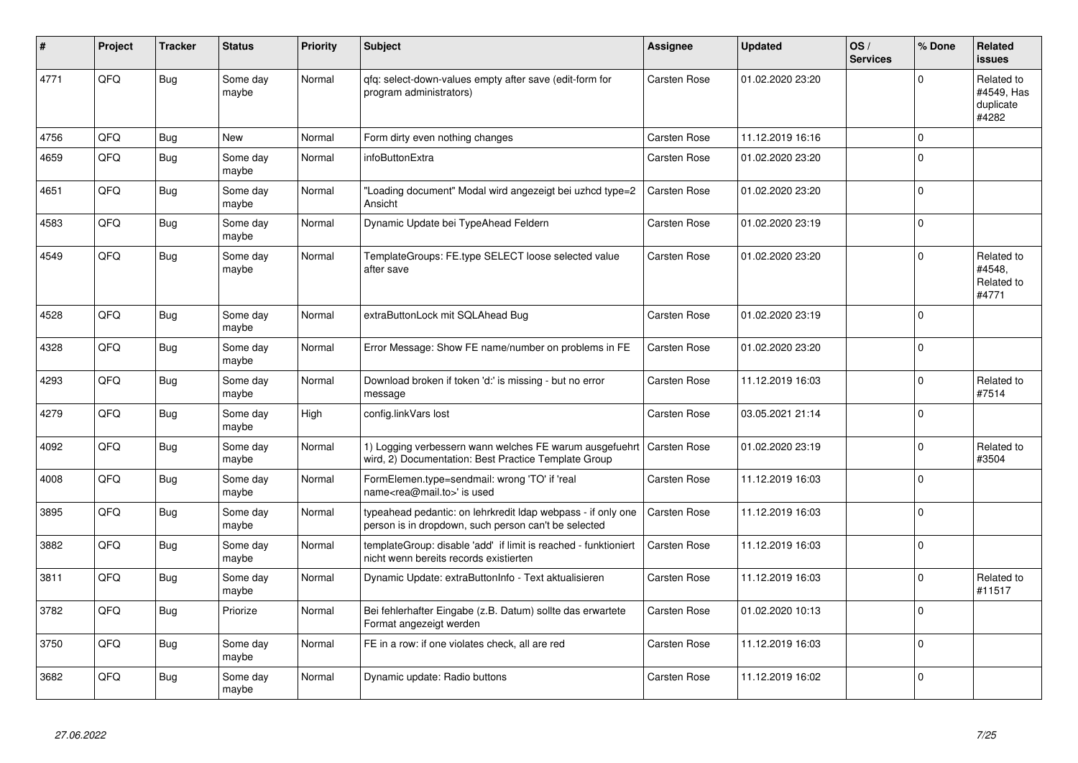| #    | Project | <b>Tracker</b> | <b>Status</b>     | <b>Priority</b> | Subject                                                                                                              | <b>Assignee</b>     | <b>Updated</b>   | OS/<br><b>Services</b> | % Done      | Related<br><b>issues</b>                       |
|------|---------|----------------|-------------------|-----------------|----------------------------------------------------------------------------------------------------------------------|---------------------|------------------|------------------------|-------------|------------------------------------------------|
| 4771 | QFQ     | <b>Bug</b>     | Some day<br>maybe | Normal          | gfg: select-down-values empty after save (edit-form for<br>program administrators)                                   | Carsten Rose        | 01.02.2020 23:20 |                        | $\Omega$    | Related to<br>#4549, Has<br>duplicate<br>#4282 |
| 4756 | QFQ     | <b>Bug</b>     | <b>New</b>        | Normal          | Form dirty even nothing changes                                                                                      | <b>Carsten Rose</b> | 11.12.2019 16:16 |                        | $\Omega$    |                                                |
| 4659 | QFQ     | Bug            | Some day<br>maybe | Normal          | infoButtonExtra                                                                                                      | <b>Carsten Rose</b> | 01.02.2020 23:20 |                        | $\Omega$    |                                                |
| 4651 | QFQ     | Bug            | Some day<br>maybe | Normal          | "Loading document" Modal wird angezeigt bei uzhcd type=2<br>Ansicht                                                  | <b>Carsten Rose</b> | 01.02.2020 23:20 |                        | $\mathbf 0$ |                                                |
| 4583 | QFQ     | <b>Bug</b>     | Some day<br>maybe | Normal          | Dynamic Update bei TypeAhead Feldern                                                                                 | Carsten Rose        | 01.02.2020 23:19 |                        | $\Omega$    |                                                |
| 4549 | QFQ     | <b>Bug</b>     | Some day<br>maybe | Normal          | TemplateGroups: FE.type SELECT loose selected value<br>after save                                                    | Carsten Rose        | 01.02.2020 23:20 |                        | $\Omega$    | Related to<br>#4548.<br>Related to<br>#4771    |
| 4528 | QFQ     | Bug            | Some day<br>maybe | Normal          | extraButtonLock mit SQLAhead Bug                                                                                     | Carsten Rose        | 01.02.2020 23:19 |                        | $\Omega$    |                                                |
| 4328 | QFQ     | <b>Bug</b>     | Some day<br>maybe | Normal          | Error Message: Show FE name/number on problems in FE                                                                 | <b>Carsten Rose</b> | 01.02.2020 23:20 |                        | $\Omega$    |                                                |
| 4293 | QFQ     | <b>Bug</b>     | Some day<br>maybe | Normal          | Download broken if token 'd:' is missing - but no error<br>message                                                   | Carsten Rose        | 11.12.2019 16:03 |                        | $\Omega$    | Related to<br>#7514                            |
| 4279 | QFQ     | <b>Bug</b>     | Some day<br>maybe | High            | config.linkVars lost                                                                                                 | Carsten Rose        | 03.05.2021 21:14 |                        | $\Omega$    |                                                |
| 4092 | QFQ     | <b>Bug</b>     | Some day<br>maybe | Normal          | 1) Logging verbessern wann welches FE warum ausgefuehrt<br>wird, 2) Documentation: Best Practice Template Group      | Carsten Rose        | 01.02.2020 23:19 |                        | $\mathbf 0$ | Related to<br>#3504                            |
| 4008 | QFQ     | <b>Bug</b>     | Some day<br>maybe | Normal          | FormElemen.type=sendmail: wrong 'TO' if 'real<br>name <rea@mail.to>' is used</rea@mail.to>                           | <b>Carsten Rose</b> | 11.12.2019 16:03 |                        | $\Omega$    |                                                |
| 3895 | QFQ     | Bug            | Some day<br>maybe | Normal          | typeahead pedantic: on lehrkredit Idap webpass - if only one<br>person is in dropdown, such person can't be selected | <b>Carsten Rose</b> | 11.12.2019 16:03 |                        | $\mathbf 0$ |                                                |
| 3882 | QFQ     | <b>Bug</b>     | Some day<br>maybe | Normal          | templateGroup: disable 'add' if limit is reached - funktioniert<br>nicht wenn bereits records existierten            | Carsten Rose        | 11.12.2019 16:03 |                        | $\mathbf 0$ |                                                |
| 3811 | QFQ     | <b>Bug</b>     | Some day<br>maybe | Normal          | Dynamic Update: extraButtonInfo - Text aktualisieren                                                                 | Carsten Rose        | 11.12.2019 16:03 |                        | $\Omega$    | Related to<br>#11517                           |
| 3782 | QFQ     | <b>Bug</b>     | Priorize          | Normal          | Bei fehlerhafter Eingabe (z.B. Datum) sollte das erwartete<br>Format angezeigt werden                                | Carsten Rose        | 01.02.2020 10:13 |                        | $\Omega$    |                                                |
| 3750 | QFQ     | <b>Bug</b>     | Some day<br>maybe | Normal          | FE in a row: if one violates check, all are red                                                                      | Carsten Rose        | 11.12.2019 16:03 |                        | $\Omega$    |                                                |
| 3682 | QFQ     | <b>Bug</b>     | Some day<br>maybe | Normal          | Dynamic update: Radio buttons                                                                                        | <b>Carsten Rose</b> | 11.12.2019 16:02 |                        | $\Omega$    |                                                |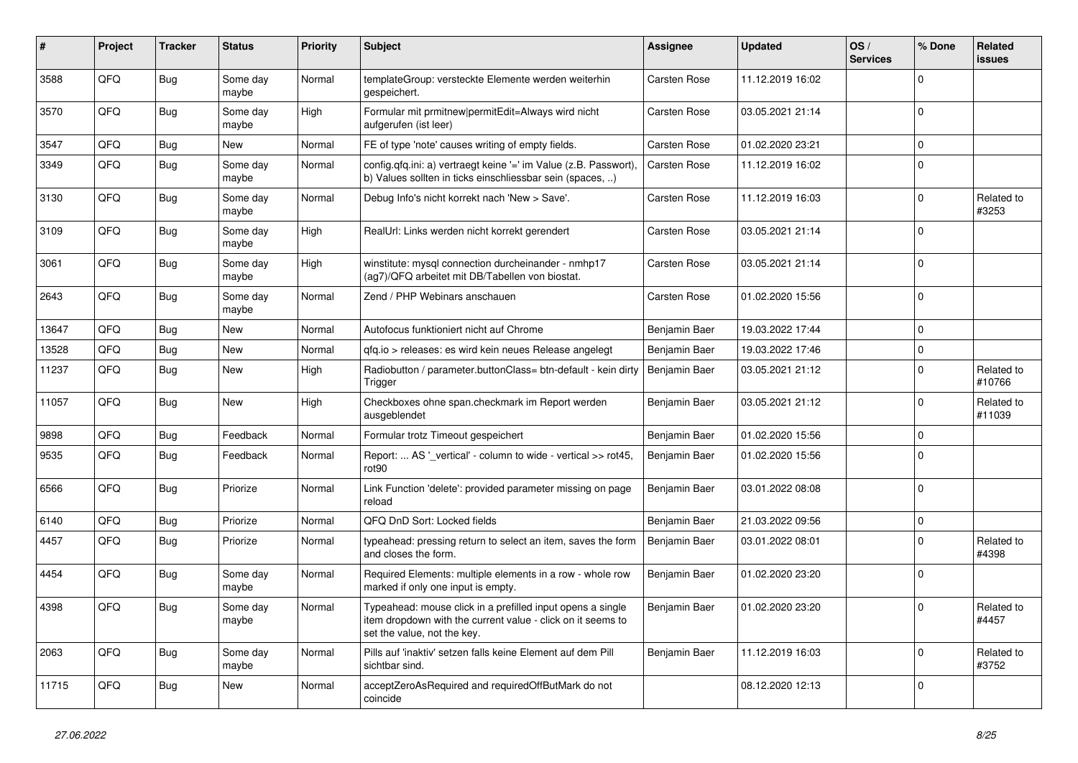| #     | Project        | <b>Tracker</b> | <b>Status</b>     | <b>Priority</b> | <b>Subject</b>                                                                                                                                           | <b>Assignee</b>     | <b>Updated</b>   | OS/<br><b>Services</b> | % Done       | Related<br><b>issues</b> |
|-------|----------------|----------------|-------------------|-----------------|----------------------------------------------------------------------------------------------------------------------------------------------------------|---------------------|------------------|------------------------|--------------|--------------------------|
| 3588  | QFQ            | <b>Bug</b>     | Some day<br>maybe | Normal          | templateGroup: versteckte Elemente werden weiterhin<br>gespeichert.                                                                                      | Carsten Rose        | 11.12.2019 16:02 |                        | $\mathbf 0$  |                          |
| 3570  | QFQ            | Bug            | Some day<br>maybe | High            | Formular mit prmitnew permitEdit=Always wird nicht<br>aufgerufen (ist leer)                                                                              | <b>Carsten Rose</b> | 03.05.2021 21:14 |                        | $\mathbf 0$  |                          |
| 3547  | QFQ            | Bug            | New               | Normal          | FE of type 'note' causes writing of empty fields.                                                                                                        | Carsten Rose        | 01.02.2020 23:21 |                        | $\mathbf 0$  |                          |
| 3349  | QFQ            | Bug            | Some day<br>maybe | Normal          | config.qfq.ini: a) vertraegt keine '=' im Value (z.B. Passwort),<br>b) Values sollten in ticks einschliessbar sein (spaces, )                            | Carsten Rose        | 11.12.2019 16:02 |                        | $\mathbf 0$  |                          |
| 3130  | QFQ            | Bug            | Some day<br>maybe | Normal          | Debug Info's nicht korrekt nach 'New > Save'.                                                                                                            | Carsten Rose        | 11.12.2019 16:03 |                        | $\mathbf 0$  | Related to<br>#3253      |
| 3109  | QFQ            | Bug            | Some day<br>maybe | High            | RealUrl: Links werden nicht korrekt gerendert                                                                                                            | <b>Carsten Rose</b> | 03.05.2021 21:14 |                        | $\mathbf 0$  |                          |
| 3061  | QFQ            | <b>Bug</b>     | Some day<br>maybe | High            | winstitute: mysql connection durcheinander - nmhp17<br>(ag7)/QFQ arbeitet mit DB/Tabellen von biostat.                                                   | <b>Carsten Rose</b> | 03.05.2021 21:14 |                        | $\mathbf 0$  |                          |
| 2643  | QFQ            | Bug            | Some day<br>maybe | Normal          | Zend / PHP Webinars anschauen                                                                                                                            | <b>Carsten Rose</b> | 01.02.2020 15:56 |                        | $\mathbf 0$  |                          |
| 13647 | QFQ            | Bug            | New               | Normal          | Autofocus funktioniert nicht auf Chrome                                                                                                                  | Benjamin Baer       | 19.03.2022 17:44 |                        | $\mathbf 0$  |                          |
| 13528 | QFQ            | Bug            | New               | Normal          | gfg.io > releases: es wird kein neues Release angelegt                                                                                                   | Benjamin Baer       | 19.03.2022 17:46 |                        | $\mathbf 0$  |                          |
| 11237 | QFQ            | Bug            | New               | High            | Radiobutton / parameter.buttonClass= btn-default - kein dirty<br>Trigger                                                                                 | Benjamin Baer       | 03.05.2021 21:12 |                        | $\mathbf 0$  | Related to<br>#10766     |
| 11057 | QFQ            | Bug            | New               | High            | Checkboxes ohne span.checkmark im Report werden<br>ausgeblendet                                                                                          | Benjamin Baer       | 03.05.2021 21:12 |                        | 0            | Related to<br>#11039     |
| 9898  | QFQ            | <b>Bug</b>     | Feedback          | Normal          | Formular trotz Timeout gespeichert                                                                                                                       | Benjamin Baer       | 01.02.2020 15:56 |                        | $\mathbf 0$  |                          |
| 9535  | QFQ            | <b>Bug</b>     | Feedback          | Normal          | Report:  AS '_vertical' - column to wide - vertical >> rot45,<br>rot <sub>90</sub>                                                                       | Benjamin Baer       | 01.02.2020 15:56 |                        | $\mathbf 0$  |                          |
| 6566  | QFQ            | Bug            | Priorize          | Normal          | Link Function 'delete': provided parameter missing on page<br>reload                                                                                     | Benjamin Baer       | 03.01.2022 08:08 |                        | $\mathbf 0$  |                          |
| 6140  | QFQ            | <b>Bug</b>     | Priorize          | Normal          | QFQ DnD Sort: Locked fields                                                                                                                              | Benjamin Baer       | 21.03.2022 09:56 |                        | $\pmb{0}$    |                          |
| 4457  | QFQ            | Bug            | Priorize          | Normal          | typeahead: pressing return to select an item, saves the form<br>and closes the form.                                                                     | Benjamin Baer       | 03.01.2022 08:01 |                        | $\mathbf 0$  | Related to<br>#4398      |
| 4454  | QFQ            | Bug            | Some day<br>maybe | Normal          | Required Elements: multiple elements in a row - whole row<br>marked if only one input is empty.                                                          | Benjamin Baer       | 01.02.2020 23:20 |                        | $\mathbf 0$  |                          |
| 4398  | $\mathsf{QFQ}$ | Bug            | Some day<br>maybe | Normal          | Typeahead: mouse click in a prefilled input opens a single<br>item dropdown with the current value - click on it seems to<br>set the value, not the key. | Benjamin Baer       | 01.02.2020 23:20 |                        | $\mathbf 0$  | Related to<br>#4457      |
| 2063  | QFQ            | <b>Bug</b>     | Some day<br>maybe | Normal          | Pills auf 'inaktiv' setzen falls keine Element auf dem Pill<br>sichtbar sind.                                                                            | Benjamin Baer       | 11.12.2019 16:03 |                        | $\mathbf{0}$ | Related to<br>#3752      |
| 11715 | QFQ            | Bug            | New               | Normal          | acceptZeroAsRequired and requiredOffButMark do not<br>coincide                                                                                           |                     | 08.12.2020 12:13 |                        | $\mathsf 0$  |                          |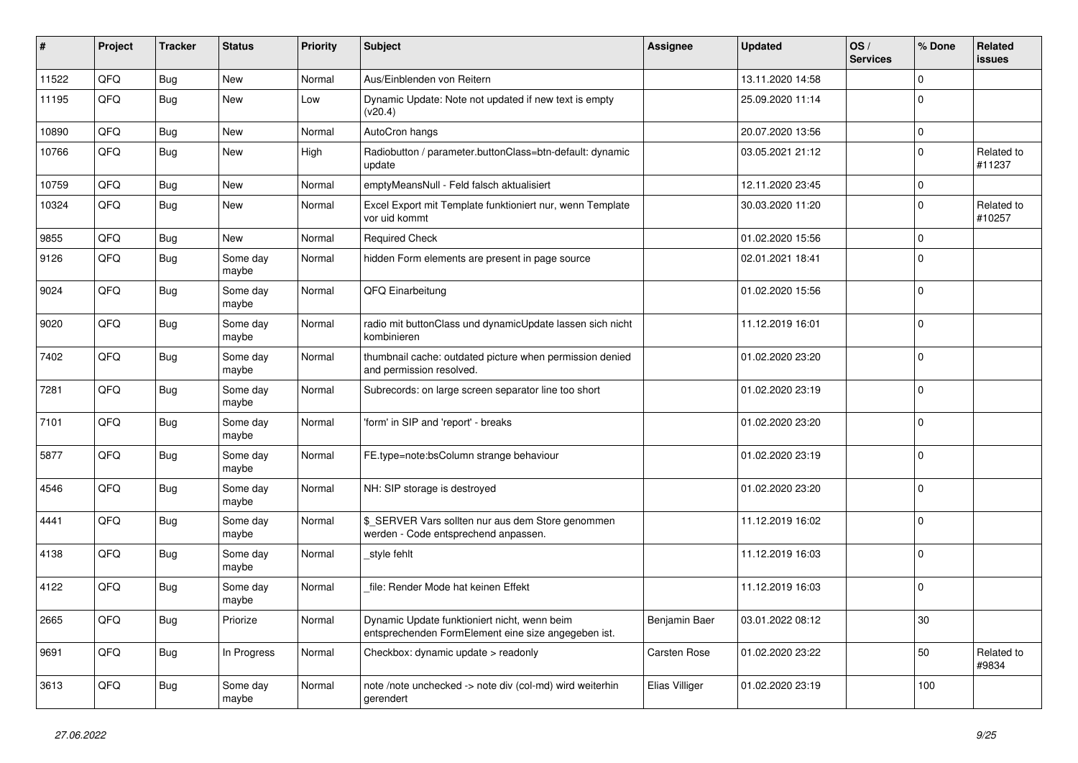| ∦     | Project | <b>Tracker</b> | <b>Status</b>     | <b>Priority</b> | <b>Subject</b>                                                                                      | Assignee       | <b>Updated</b>   | OS/<br><b>Services</b> | % Done      | Related<br><b>issues</b> |
|-------|---------|----------------|-------------------|-----------------|-----------------------------------------------------------------------------------------------------|----------------|------------------|------------------------|-------------|--------------------------|
| 11522 | QFQ     | <b>Bug</b>     | <b>New</b>        | Normal          | Aus/Einblenden von Reitern                                                                          |                | 13.11.2020 14:58 |                        | $\Omega$    |                          |
| 11195 | QFQ     | Bug            | <b>New</b>        | Low             | Dynamic Update: Note not updated if new text is empty<br>(v20.4)                                    |                | 25.09.2020 11:14 |                        | $\Omega$    |                          |
| 10890 | QFQ     | <b>Bug</b>     | <b>New</b>        | Normal          | AutoCron hangs                                                                                      |                | 20.07.2020 13:56 |                        | $\mathbf 0$ |                          |
| 10766 | QFQ     | <b>Bug</b>     | <b>New</b>        | High            | Radiobutton / parameter.buttonClass=btn-default: dynamic<br>update                                  |                | 03.05.2021 21:12 |                        | $\mathbf 0$ | Related to<br>#11237     |
| 10759 | QFQ     | <b>Bug</b>     | <b>New</b>        | Normal          | emptyMeansNull - Feld falsch aktualisiert                                                           |                | 12.11.2020 23:45 |                        | $\mathbf 0$ |                          |
| 10324 | QFQ     | <b>Bug</b>     | <b>New</b>        | Normal          | Excel Export mit Template funktioniert nur, wenn Template<br>vor uid kommt                          |                | 30.03.2020 11:20 |                        | $\Omega$    | Related to<br>#10257     |
| 9855  | QFQ     | Bug            | <b>New</b>        | Normal          | <b>Required Check</b>                                                                               |                | 01.02.2020 15:56 |                        | $\Omega$    |                          |
| 9126  | QFQ     | <b>Bug</b>     | Some day<br>maybe | Normal          | hidden Form elements are present in page source                                                     |                | 02.01.2021 18:41 |                        | $\Omega$    |                          |
| 9024  | QFQ     | <b>Bug</b>     | Some day<br>maybe | Normal          | QFQ Einarbeitung                                                                                    |                | 01.02.2020 15:56 |                        | $\Omega$    |                          |
| 9020  | QFQ     | <b>Bug</b>     | Some day<br>maybe | Normal          | radio mit buttonClass und dynamicUpdate lassen sich nicht<br>kombinieren                            |                | 11.12.2019 16:01 |                        | $\Omega$    |                          |
| 7402  | QFQ     | Bug            | Some day<br>maybe | Normal          | thumbnail cache: outdated picture when permission denied<br>and permission resolved.                |                | 01.02.2020 23:20 |                        | $\Omega$    |                          |
| 7281  | QFQ     | Bug            | Some day<br>maybe | Normal          | Subrecords: on large screen separator line too short                                                |                | 01.02.2020 23:19 |                        | $\Omega$    |                          |
| 7101  | QFQ     | <b>Bug</b>     | Some day<br>maybe | Normal          | form' in SIP and 'report' - breaks                                                                  |                | 01.02.2020 23:20 |                        | $\Omega$    |                          |
| 5877  | QFQ     | <b>Bug</b>     | Some day<br>maybe | Normal          | FE.type=note:bsColumn strange behaviour                                                             |                | 01.02.2020 23:19 |                        | $\Omega$    |                          |
| 4546  | QFQ     | Bug            | Some day<br>maybe | Normal          | NH: SIP storage is destroyed                                                                        |                | 01.02.2020 23:20 |                        | $\Omega$    |                          |
| 4441  | QFQ     | <b>Bug</b>     | Some day<br>maybe | Normal          | \$_SERVER Vars sollten nur aus dem Store genommen<br>werden - Code entsprechend anpassen.           |                | 11.12.2019 16:02 |                        | $\Omega$    |                          |
| 4138  | QFQ     | <b>Bug</b>     | Some day<br>maybe | Normal          | style fehlt                                                                                         |                | 11.12.2019 16:03 |                        | $\Omega$    |                          |
| 4122  | QFQ     | <b>Bug</b>     | Some day<br>maybe | Normal          | file: Render Mode hat keinen Effekt                                                                 |                | 11.12.2019 16:03 |                        | $\mathbf 0$ |                          |
| 2665  | QFQ     | <b>Bug</b>     | Priorize          | Normal          | Dynamic Update funktioniert nicht, wenn beim<br>entsprechenden FormElement eine size angegeben ist. | Benjamin Baer  | 03.01.2022 08:12 |                        | 30          |                          |
| 9691  | QFQ     | <b>Bug</b>     | In Progress       | Normal          | Checkbox: dynamic update > readonly                                                                 | Carsten Rose   | 01.02.2020 23:22 |                        | 50          | Related to<br>#9834      |
| 3613  | QFQ     | <b>Bug</b>     | Some day<br>maybe | Normal          | note /note unchecked -> note div (col-md) wird weiterhin<br>gerendert                               | Elias Villiger | 01.02.2020 23:19 |                        | 100         |                          |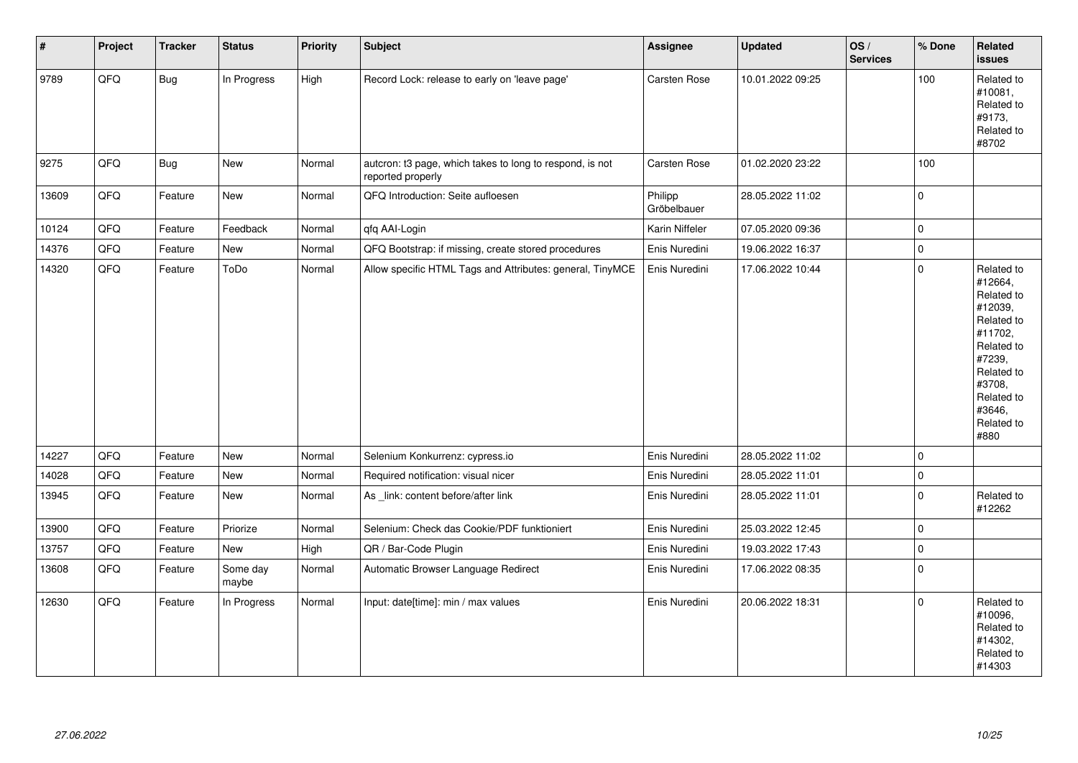| $\vert$ # | Project | <b>Tracker</b> | <b>Status</b>     | <b>Priority</b> | <b>Subject</b>                                                                | Assignee               | <b>Updated</b>   | OS/<br><b>Services</b> | % Done      | Related<br><b>issues</b>                                                                                                                                              |
|-----------|---------|----------------|-------------------|-----------------|-------------------------------------------------------------------------------|------------------------|------------------|------------------------|-------------|-----------------------------------------------------------------------------------------------------------------------------------------------------------------------|
| 9789      | QFQ     | <b>Bug</b>     | In Progress       | High            | Record Lock: release to early on 'leave page'                                 | Carsten Rose           | 10.01.2022 09:25 |                        | 100         | Related to<br>#10081,<br>Related to<br>#9173,<br>Related to<br>#8702                                                                                                  |
| 9275      | QFQ     | Bug            | New               | Normal          | autcron: t3 page, which takes to long to respond, is not<br>reported properly | Carsten Rose           | 01.02.2020 23:22 |                        | 100         |                                                                                                                                                                       |
| 13609     | QFQ     | Feature        | New               | Normal          | QFQ Introduction: Seite aufloesen                                             | Philipp<br>Gröbelbauer | 28.05.2022 11:02 |                        | $\mathbf 0$ |                                                                                                                                                                       |
| 10124     | QFQ     | Feature        | Feedback          | Normal          | qfq AAI-Login                                                                 | Karin Niffeler         | 07.05.2020 09:36 |                        | $\pmb{0}$   |                                                                                                                                                                       |
| 14376     | QFQ     | Feature        | New               | Normal          | QFQ Bootstrap: if missing, create stored procedures                           | Enis Nuredini          | 19.06.2022 16:37 |                        | $\pmb{0}$   |                                                                                                                                                                       |
| 14320     | QFQ     | Feature        | ToDo              | Normal          | Allow specific HTML Tags and Attributes: general, TinyMCE                     | Enis Nuredini          | 17.06.2022 10:44 |                        | $\mathbf 0$ | Related to<br>#12664,<br>Related to<br>#12039,<br>Related to<br>#11702,<br>Related to<br>#7239,<br>Related to<br>#3708,<br>Related to<br>#3646,<br>Related to<br>#880 |
| 14227     | QFQ     | Feature        | <b>New</b>        | Normal          | Selenium Konkurrenz: cypress.io                                               | Enis Nuredini          | 28.05.2022 11:02 |                        | $\Omega$    |                                                                                                                                                                       |
| 14028     | QFQ     | Feature        | New               | Normal          | Required notification: visual nicer                                           | Enis Nuredini          | 28.05.2022 11:01 |                        | $\mathbf 0$ |                                                                                                                                                                       |
| 13945     | QFQ     | Feature        | New               | Normal          | As _link: content before/after link                                           | Enis Nuredini          | 28.05.2022 11:01 |                        | $\mathbf 0$ | Related to<br>#12262                                                                                                                                                  |
| 13900     | QFQ     | Feature        | Priorize          | Normal          | Selenium: Check das Cookie/PDF funktioniert                                   | Enis Nuredini          | 25.03.2022 12:45 |                        | $\pmb{0}$   |                                                                                                                                                                       |
| 13757     | QFQ     | Feature        | New               | High            | QR / Bar-Code Plugin                                                          | Enis Nuredini          | 19.03.2022 17:43 |                        | $\mathbf 0$ |                                                                                                                                                                       |
| 13608     | QFQ     | Feature        | Some day<br>maybe | Normal          | Automatic Browser Language Redirect                                           | Enis Nuredini          | 17.06.2022 08:35 |                        | $\mathbf 0$ |                                                                                                                                                                       |
| 12630     | QFQ     | Feature        | In Progress       | Normal          | Input: date[time]: min / max values                                           | Enis Nuredini          | 20.06.2022 18:31 |                        | $\mathbf 0$ | Related to<br>#10096,<br>Related to<br>#14302,<br>Related to<br>#14303                                                                                                |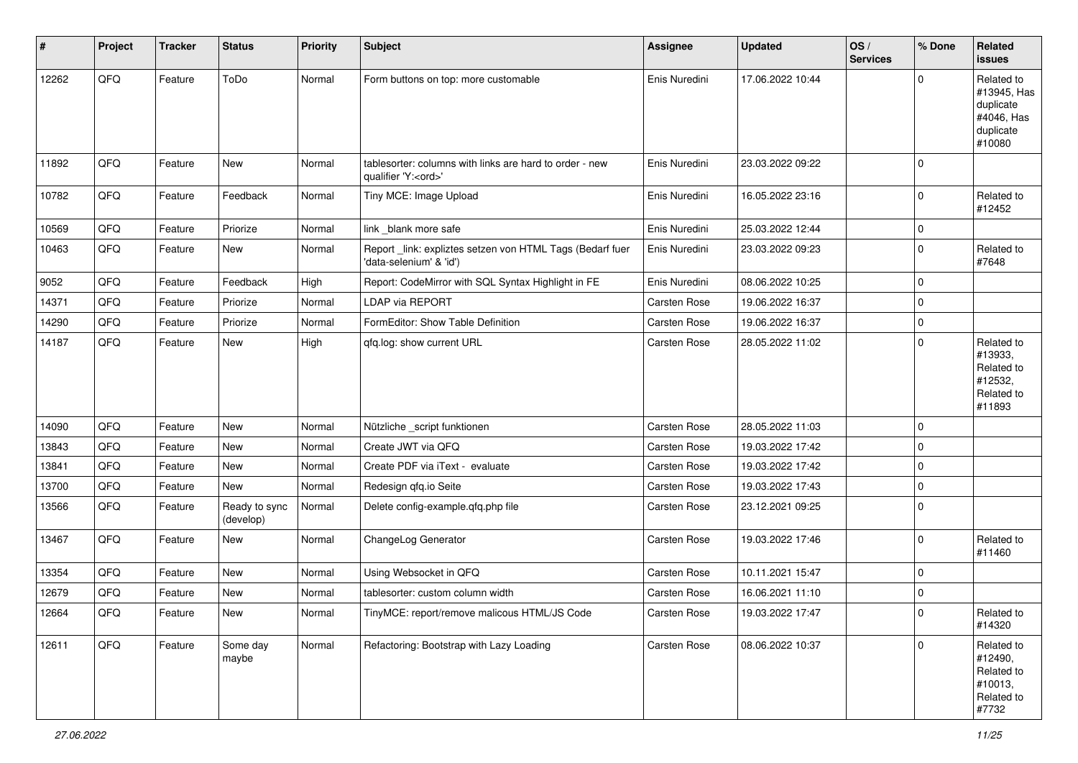| #     | Project | <b>Tracker</b> | <b>Status</b>              | <b>Priority</b> | <b>Subject</b>                                                                        | Assignee            | <b>Updated</b>   | OS/<br><b>Services</b> | % Done      | Related<br>issues                                                           |
|-------|---------|----------------|----------------------------|-----------------|---------------------------------------------------------------------------------------|---------------------|------------------|------------------------|-------------|-----------------------------------------------------------------------------|
| 12262 | QFQ     | Feature        | ToDo                       | Normal          | Form buttons on top: more customable                                                  | Enis Nuredini       | 17.06.2022 10:44 |                        | $\Omega$    | Related to<br>#13945, Has<br>duplicate<br>#4046, Has<br>duplicate<br>#10080 |
| 11892 | QFQ     | Feature        | <b>New</b>                 | Normal          | tablesorter: columns with links are hard to order - new<br>qualifier 'Y: <ord>'</ord> | Enis Nuredini       | 23.03.2022 09:22 |                        | $\Omega$    |                                                                             |
| 10782 | QFQ     | Feature        | Feedback                   | Normal          | Tiny MCE: Image Upload                                                                | Enis Nuredini       | 16.05.2022 23:16 |                        | $\Omega$    | Related to<br>#12452                                                        |
| 10569 | QFQ     | Feature        | Priorize                   | Normal          | link _blank more safe                                                                 | Enis Nuredini       | 25.03.2022 12:44 |                        | $\Omega$    |                                                                             |
| 10463 | QFQ     | Feature        | New                        | Normal          | Report_link: expliztes setzen von HTML Tags (Bedarf fuer<br>'data-selenium' & 'id')   | Enis Nuredini       | 23.03.2022 09:23 |                        | $\Omega$    | Related to<br>#7648                                                         |
| 9052  | QFQ     | Feature        | Feedback                   | High            | Report: CodeMirror with SQL Syntax Highlight in FE                                    | Enis Nuredini       | 08.06.2022 10:25 |                        | $\Omega$    |                                                                             |
| 14371 | QFQ     | Feature        | Priorize                   | Normal          | <b>LDAP via REPORT</b>                                                                | <b>Carsten Rose</b> | 19.06.2022 16:37 |                        | $\Omega$    |                                                                             |
| 14290 | QFQ     | Feature        | Priorize                   | Normal          | FormEditor: Show Table Definition                                                     | Carsten Rose        | 19.06.2022 16:37 |                        | $\mathbf 0$ |                                                                             |
| 14187 | QFQ     | Feature        | New                        | High            | gfg.log: show current URL                                                             | <b>Carsten Rose</b> | 28.05.2022 11:02 |                        | $\Omega$    | Related to<br>#13933.<br>Related to<br>#12532,<br>Related to<br>#11893      |
| 14090 | QFQ     | Feature        | New                        | Normal          | Nützliche _script funktionen                                                          | Carsten Rose        | 28.05.2022 11:03 |                        | $\Omega$    |                                                                             |
| 13843 | QFQ     | Feature        | New                        | Normal          | Create JWT via QFQ                                                                    | <b>Carsten Rose</b> | 19.03.2022 17:42 |                        | $\Omega$    |                                                                             |
| 13841 | QFQ     | Feature        | New                        | Normal          | Create PDF via iText - evaluate                                                       | Carsten Rose        | 19.03.2022 17:42 |                        | $\Omega$    |                                                                             |
| 13700 | QFQ     | Feature        | New                        | Normal          | Redesign qfq.io Seite                                                                 | Carsten Rose        | 19.03.2022 17:43 |                        | $\Omega$    |                                                                             |
| 13566 | QFQ     | Feature        | Ready to sync<br>(develop) | Normal          | Delete config-example.qfq.php file                                                    | Carsten Rose        | 23.12.2021 09:25 |                        | $\Omega$    |                                                                             |
| 13467 | QFQ     | Feature        | New                        | Normal          | ChangeLog Generator                                                                   | Carsten Rose        | 19.03.2022 17:46 |                        | $\Omega$    | Related to<br>#11460                                                        |
| 13354 | QFQ     | Feature        | New                        | Normal          | Using Websocket in QFQ                                                                | <b>Carsten Rose</b> | 10.11.2021 15:47 |                        | $\Omega$    |                                                                             |
| 12679 | QFQ     | Feature        | New                        | Normal          | tablesorter: custom column width                                                      | Carsten Rose        | 16.06.2021 11:10 |                        | $\Omega$    |                                                                             |
| 12664 | QFG     | Feature        | New                        | Normal          | TinyMCE: report/remove malicous HTML/JS Code                                          | <b>Carsten Rose</b> | 19.03.2022 17:47 |                        | $\pmb{0}$   | Related to<br>#14320                                                        |
| 12611 | QFQ     | Feature        | Some day<br>maybe          | Normal          | Refactoring: Bootstrap with Lazy Loading                                              | Carsten Rose        | 08.06.2022 10:37 |                        | $\mathbf 0$ | Related to<br>#12490,<br>Related to<br>#10013,<br>Related to<br>#7732       |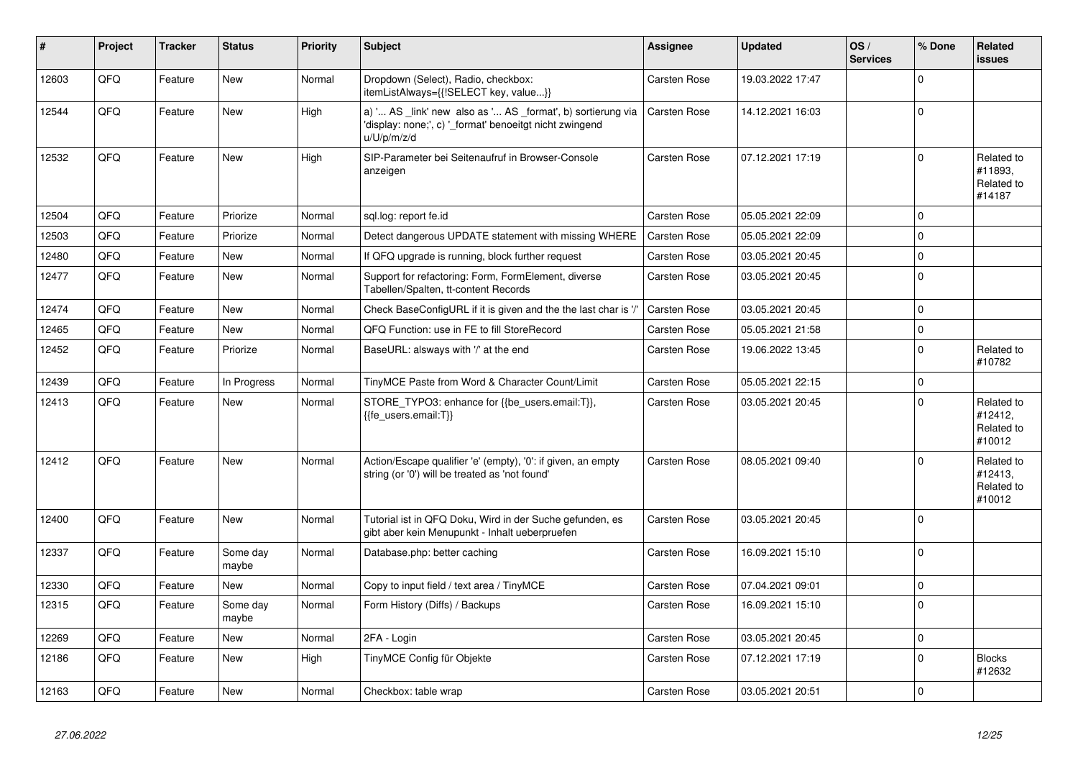| #     | Project | <b>Tracker</b> | <b>Status</b>     | <b>Priority</b> | Subject                                                                                                                               | Assignee            | <b>Updated</b>   | OS/<br><b>Services</b> | % Done      | Related<br><b>issues</b>                      |
|-------|---------|----------------|-------------------|-----------------|---------------------------------------------------------------------------------------------------------------------------------------|---------------------|------------------|------------------------|-------------|-----------------------------------------------|
| 12603 | QFQ     | Feature        | New               | Normal          | Dropdown (Select), Radio, checkbox:<br>itemListAlways={{!SELECT key, value}}                                                          | Carsten Rose        | 19.03.2022 17:47 |                        | $\mathbf 0$ |                                               |
| 12544 | QFQ     | Feature        | <b>New</b>        | High            | a) ' AS _link' new also as ' AS _format', b) sortierung via<br>'display: none;', c) '_format' benoeitgt nicht zwingend<br>u/U/p/m/z/d | <b>Carsten Rose</b> | 14.12.2021 16:03 |                        | $\mathbf 0$ |                                               |
| 12532 | QFQ     | Feature        | <b>New</b>        | High            | SIP-Parameter bei Seitenaufruf in Browser-Console<br>anzeigen                                                                         | <b>Carsten Rose</b> | 07.12.2021 17:19 |                        | $\Omega$    | Related to<br>#11893.<br>Related to<br>#14187 |
| 12504 | QFQ     | Feature        | Priorize          | Normal          | sql.log: report fe.id                                                                                                                 | Carsten Rose        | 05.05.2021 22:09 |                        | $\mathbf 0$ |                                               |
| 12503 | QFQ     | Feature        | Priorize          | Normal          | Detect dangerous UPDATE statement with missing WHERE                                                                                  | <b>Carsten Rose</b> | 05.05.2021 22:09 |                        | $\mathbf 0$ |                                               |
| 12480 | QFQ     | Feature        | <b>New</b>        | Normal          | If QFQ upgrade is running, block further request                                                                                      | Carsten Rose        | 03.05.2021 20:45 |                        | $\mathbf 0$ |                                               |
| 12477 | QFQ     | Feature        | <b>New</b>        | Normal          | Support for refactoring: Form, FormElement, diverse<br>Tabellen/Spalten, tt-content Records                                           | <b>Carsten Rose</b> | 03.05.2021 20:45 |                        | $\mathbf 0$ |                                               |
| 12474 | QFQ     | Feature        | <b>New</b>        | Normal          | Check BaseConfigURL if it is given and the the last char is '/'                                                                       | <b>Carsten Rose</b> | 03.05.2021 20:45 |                        | $\pmb{0}$   |                                               |
| 12465 | QFQ     | Feature        | New               | Normal          | QFQ Function: use in FE to fill StoreRecord                                                                                           | <b>Carsten Rose</b> | 05.05.2021 21:58 |                        | $\mathbf 0$ |                                               |
| 12452 | QFQ     | Feature        | Priorize          | Normal          | BaseURL: alsways with '/' at the end                                                                                                  | Carsten Rose        | 19.06.2022 13:45 |                        | $\mathbf 0$ | Related to<br>#10782                          |
| 12439 | QFQ     | Feature        | In Progress       | Normal          | TinyMCE Paste from Word & Character Count/Limit                                                                                       | <b>Carsten Rose</b> | 05.05.2021 22:15 |                        | $\mathbf 0$ |                                               |
| 12413 | QFQ     | Feature        | <b>New</b>        | Normal          | STORE_TYPO3: enhance for {{be_users.email:T}},<br>{{fe users.email:T}}                                                                | <b>Carsten Rose</b> | 03.05.2021 20:45 |                        | $\Omega$    | Related to<br>#12412,<br>Related to<br>#10012 |
| 12412 | QFQ     | Feature        | <b>New</b>        | Normal          | Action/Escape qualifier 'e' (empty), '0': if given, an empty<br>string (or '0') will be treated as 'not found'                        | <b>Carsten Rose</b> | 08.05.2021 09:40 |                        | $\Omega$    | Related to<br>#12413,<br>Related to<br>#10012 |
| 12400 | QFQ     | Feature        | <b>New</b>        | Normal          | Tutorial ist in QFQ Doku, Wird in der Suche gefunden, es<br>gibt aber kein Menupunkt - Inhalt ueberpruefen                            | <b>Carsten Rose</b> | 03.05.2021 20:45 |                        | $\mathbf 0$ |                                               |
| 12337 | QFQ     | Feature        | Some day<br>maybe | Normal          | Database.php: better caching                                                                                                          | Carsten Rose        | 16.09.2021 15:10 |                        | $\mathbf 0$ |                                               |
| 12330 | QFQ     | Feature        | <b>New</b>        | Normal          | Copy to input field / text area / TinyMCE                                                                                             | <b>Carsten Rose</b> | 07.04.2021 09:01 |                        | $\mathbf 0$ |                                               |
| 12315 | QFQ     | Feature        | Some day<br>maybe | Normal          | Form History (Diffs) / Backups                                                                                                        | <b>Carsten Rose</b> | 16.09.2021 15:10 |                        | $\Omega$    |                                               |
| 12269 | QFQ     | Feature        | <b>New</b>        | Normal          | 2FA - Login                                                                                                                           | <b>Carsten Rose</b> | 03.05.2021 20:45 |                        | $\mathbf 0$ |                                               |
| 12186 | QFQ     | Feature        | New               | High            | TinyMCE Config für Objekte                                                                                                            | Carsten Rose        | 07.12.2021 17:19 |                        | $\mathbf 0$ | <b>Blocks</b><br>#12632                       |
| 12163 | QFQ     | Feature        | <b>New</b>        | Normal          | Checkbox: table wrap                                                                                                                  | <b>Carsten Rose</b> | 03.05.2021 20:51 |                        | $\mathbf 0$ |                                               |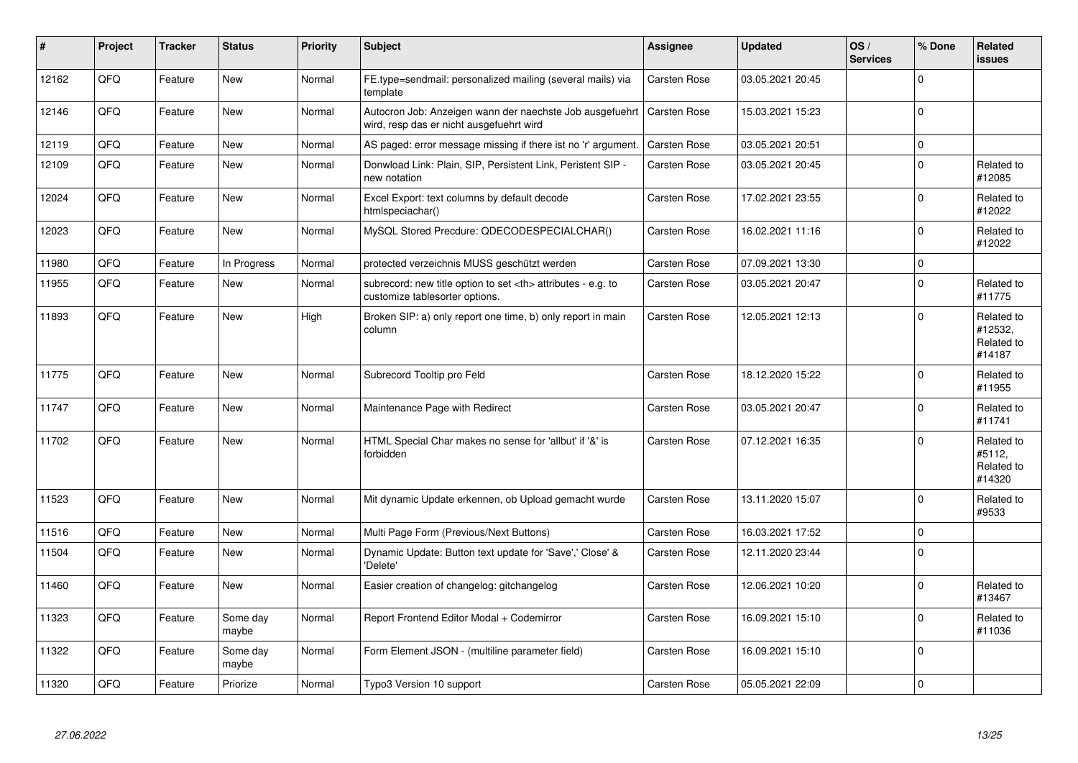| #     | Project | <b>Tracker</b> | <b>Status</b>     | <b>Priority</b> | <b>Subject</b>                                                                                       | Assignee                                               | <b>Updated</b>   | OS/<br><b>Services</b> | % Done      | Related<br>issues                             |                      |
|-------|---------|----------------|-------------------|-----------------|------------------------------------------------------------------------------------------------------|--------------------------------------------------------|------------------|------------------------|-------------|-----------------------------------------------|----------------------|
| 12162 | QFQ     | Feature        | <b>New</b>        | Normal          | FE.type=sendmail: personalized mailing (several mails) via<br>template                               | Carsten Rose                                           | 03.05.2021 20:45 |                        | $\Omega$    |                                               |                      |
| 12146 | QFQ     | Feature        | <b>New</b>        | Normal          | Autocron Job: Anzeigen wann der naechste Job ausgefuehrt<br>wird, resp das er nicht ausgefuehrt wird | <b>Carsten Rose</b>                                    | 15.03.2021 15:23 |                        | $\Omega$    |                                               |                      |
| 12119 | QFQ     | Feature        | <b>New</b>        | Normal          | AS paged: error message missing if there ist no 'r' argument.                                        | Carsten Rose                                           | 03.05.2021 20:51 |                        | $\mathbf 0$ |                                               |                      |
| 12109 | QFQ     | Feature        | <b>New</b>        | Normal          | Donwload Link: Plain, SIP, Persistent Link, Peristent SIP -<br>new notation                          | <b>Carsten Rose</b>                                    | 03.05.2021 20:45 |                        | $\Omega$    | Related to<br>#12085                          |                      |
| 12024 | QFQ     | Feature        | New               | Normal          | Excel Export: text columns by default decode<br>htmlspeciachar()                                     | Carsten Rose                                           | 17.02.2021 23:55 |                        | $\Omega$    | Related to<br>#12022                          |                      |
| 12023 | QFQ     | Feature        | <b>New</b>        | Normal          | MySQL Stored Precdure: QDECODESPECIALCHAR()                                                          | <b>Carsten Rose</b>                                    | 16.02.2021 11:16 |                        | $\Omega$    | Related to<br>#12022                          |                      |
| 11980 | QFQ     | Feature        | In Progress       | Normal          | protected verzeichnis MUSS geschützt werden                                                          | <b>Carsten Rose</b>                                    | 07.09.2021 13:30 |                        | $\Omega$    |                                               |                      |
| 11955 | QFQ     | Feature        | New               | Normal          | subrecord: new title option to set <th> attributes - e.g. to<br/>customize tablesorter options.</th> | attributes - e.g. to<br>customize tablesorter options. | Carsten Rose     | 03.05.2021 20:47       |             | $\Omega$                                      | Related to<br>#11775 |
| 11893 | QFQ     | Feature        | <b>New</b>        | High            | Broken SIP: a) only report one time, b) only report in main<br>column                                | <b>Carsten Rose</b>                                    | 12.05.2021 12:13 |                        | $\Omega$    | Related to<br>#12532,<br>Related to<br>#14187 |                      |
| 11775 | QFQ     | Feature        | <b>New</b>        | Normal          | Subrecord Tooltip pro Feld                                                                           | <b>Carsten Rose</b>                                    | 18.12.2020 15:22 |                        | $\Omega$    | Related to<br>#11955                          |                      |
| 11747 | QFQ     | Feature        | <b>New</b>        | Normal          | Maintenance Page with Redirect                                                                       | <b>Carsten Rose</b>                                    | 03.05.2021 20:47 |                        | $\Omega$    | Related to<br>#11741                          |                      |
| 11702 | QFQ     | Feature        | <b>New</b>        | Normal          | HTML Special Char makes no sense for 'allbut' if '&' is<br>forbidden                                 | Carsten Rose                                           | 07.12.2021 16:35 |                        | $\Omega$    | Related to<br>#5112,<br>Related to<br>#14320  |                      |
| 11523 | QFQ     | Feature        | <b>New</b>        | Normal          | Mit dynamic Update erkennen, ob Upload gemacht wurde                                                 | <b>Carsten Rose</b>                                    | 13.11.2020 15:07 |                        | $\Omega$    | Related to<br>#9533                           |                      |
| 11516 | QFQ     | Feature        | <b>New</b>        | Normal          | Multi Page Form (Previous/Next Buttons)                                                              | <b>Carsten Rose</b>                                    | 16.03.2021 17:52 |                        | $\Omega$    |                                               |                      |
| 11504 | QFQ     | Feature        | <b>New</b>        | Normal          | Dynamic Update: Button text update for 'Save',' Close' &<br>'Delete'                                 | <b>Carsten Rose</b>                                    | 12.11.2020 23:44 |                        | $\Omega$    |                                               |                      |
| 11460 | QFQ     | Feature        | New               | Normal          | Easier creation of changelog: gitchangelog                                                           | Carsten Rose                                           | 12.06.2021 10:20 |                        | $\Omega$    | Related to<br>#13467                          |                      |
| 11323 | QFQ     | Feature        | Some day<br>maybe | Normal          | Report Frontend Editor Modal + Codemirror                                                            | Carsten Rose                                           | 16.09.2021 15:10 |                        | $\Omega$    | Related to<br>#11036                          |                      |
| 11322 | QFQ     | Feature        | Some day<br>maybe | Normal          | Form Element JSON - (multiline parameter field)                                                      | <b>Carsten Rose</b>                                    | 16.09.2021 15:10 |                        | $\Omega$    |                                               |                      |
| 11320 | QFQ     | Feature        | Priorize          | Normal          | Typo3 Version 10 support                                                                             | <b>Carsten Rose</b>                                    | 05.05.2021 22:09 |                        | $\Omega$    |                                               |                      |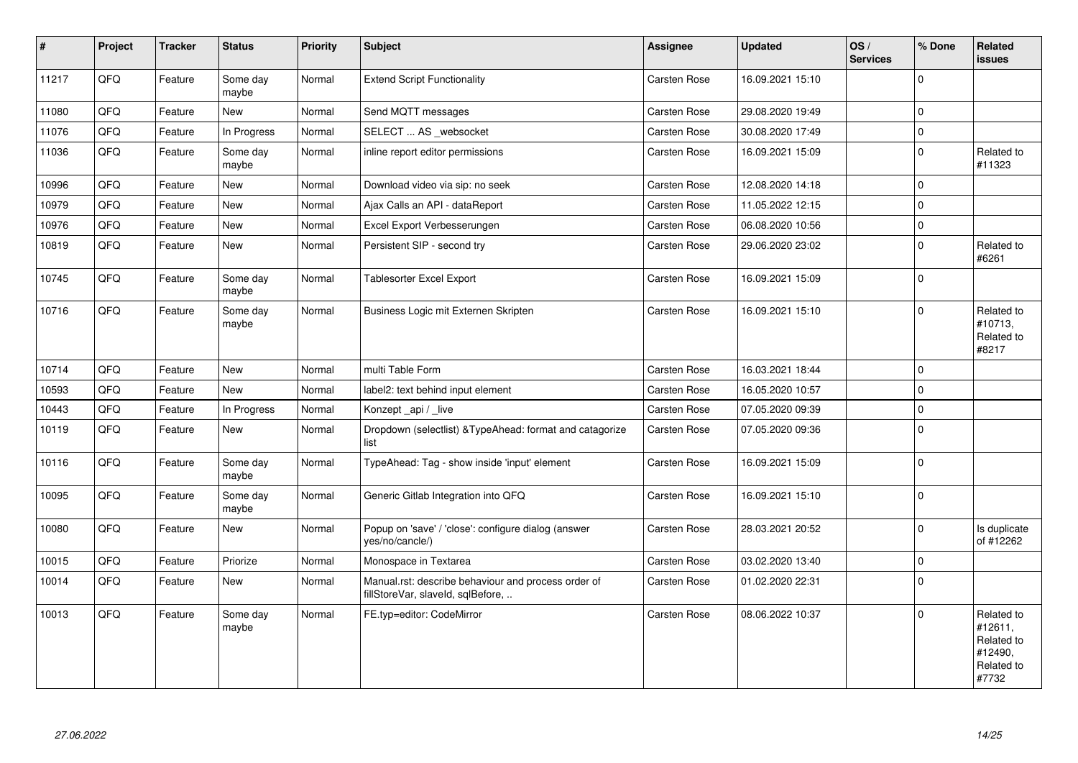| $\vert$ # | Project | <b>Tracker</b> | <b>Status</b>     | <b>Priority</b> | <b>Subject</b>                                                                           | Assignee            | <b>Updated</b>   | OS/<br><b>Services</b> | % Done      | Related<br>issues                                                     |
|-----------|---------|----------------|-------------------|-----------------|------------------------------------------------------------------------------------------|---------------------|------------------|------------------------|-------------|-----------------------------------------------------------------------|
| 11217     | QFQ     | Feature        | Some day<br>maybe | Normal          | <b>Extend Script Functionality</b>                                                       | <b>Carsten Rose</b> | 16.09.2021 15:10 |                        | $\Omega$    |                                                                       |
| 11080     | QFQ     | Feature        | <b>New</b>        | Normal          | Send MQTT messages                                                                       | <b>Carsten Rose</b> | 29.08.2020 19:49 |                        | $\Omega$    |                                                                       |
| 11076     | QFQ     | Feature        | In Progress       | Normal          | SELECT  AS _websocket                                                                    | Carsten Rose        | 30.08.2020 17:49 |                        | $\Omega$    |                                                                       |
| 11036     | QFQ     | Feature        | Some day<br>maybe | Normal          | inline report editor permissions                                                         | <b>Carsten Rose</b> | 16.09.2021 15:09 |                        | $\mathbf 0$ | Related to<br>#11323                                                  |
| 10996     | QFQ     | Feature        | <b>New</b>        | Normal          | Download video via sip: no seek                                                          | Carsten Rose        | 12.08.2020 14:18 |                        | $\Omega$    |                                                                       |
| 10979     | QFQ     | Feature        | <b>New</b>        | Normal          | Ajax Calls an API - dataReport                                                           | <b>Carsten Rose</b> | 11.05.2022 12:15 |                        | $\mathbf 0$ |                                                                       |
| 10976     | QFQ     | Feature        | <b>New</b>        | Normal          | Excel Export Verbesserungen                                                              | Carsten Rose        | 06.08.2020 10:56 |                        | $\mathbf 0$ |                                                                       |
| 10819     | QFQ     | Feature        | <b>New</b>        | Normal          | Persistent SIP - second try                                                              | Carsten Rose        | 29.06.2020 23:02 |                        | $\Omega$    | Related to<br>#6261                                                   |
| 10745     | QFQ     | Feature        | Some day<br>maybe | Normal          | <b>Tablesorter Excel Export</b>                                                          | <b>Carsten Rose</b> | 16.09.2021 15:09 |                        | $\mathbf 0$ |                                                                       |
| 10716     | QFQ     | Feature        | Some day<br>maybe | Normal          | Business Logic mit Externen Skripten                                                     | <b>Carsten Rose</b> | 16.09.2021 15:10 |                        | $\Omega$    | Related to<br>#10713,<br>Related to<br>#8217                          |
| 10714     | QFQ     | Feature        | <b>New</b>        | Normal          | multi Table Form                                                                         | <b>Carsten Rose</b> | 16.03.2021 18:44 |                        | $\mathbf 0$ |                                                                       |
| 10593     | QFQ     | Feature        | <b>New</b>        | Normal          | label2: text behind input element                                                        | Carsten Rose        | 16.05.2020 10:57 |                        | $\Omega$    |                                                                       |
| 10443     | QFQ     | Feature        | In Progress       | Normal          | Konzept api / live                                                                       | <b>Carsten Rose</b> | 07.05.2020 09:39 |                        | $\mathbf 0$ |                                                                       |
| 10119     | QFQ     | Feature        | New               | Normal          | Dropdown (selectlist) & TypeAhead: format and catagorize<br>list                         | Carsten Rose        | 07.05.2020 09:36 |                        | $\mathbf 0$ |                                                                       |
| 10116     | QFQ     | Feature        | Some day<br>maybe | Normal          | TypeAhead: Tag - show inside 'input' element                                             | Carsten Rose        | 16.09.2021 15:09 |                        | $\Omega$    |                                                                       |
| 10095     | QFQ     | Feature        | Some day<br>maybe | Normal          | Generic Gitlab Integration into QFQ                                                      | Carsten Rose        | 16.09.2021 15:10 |                        | $\mathbf 0$ |                                                                       |
| 10080     | QFQ     | Feature        | <b>New</b>        | Normal          | Popup on 'save' / 'close': configure dialog (answer<br>yes/no/cancle/)                   | <b>Carsten Rose</b> | 28.03.2021 20:52 |                        | $\mathbf 0$ | Is duplicate<br>of #12262                                             |
| 10015     | QFQ     | Feature        | Priorize          | Normal          | Monospace in Textarea                                                                    | Carsten Rose        | 03.02.2020 13:40 |                        | $\mathbf 0$ |                                                                       |
| 10014     | QFQ     | Feature        | New               | Normal          | Manual.rst: describe behaviour and process order of<br>fillStoreVar, slaveId, sqlBefore, | <b>Carsten Rose</b> | 01.02.2020 22:31 |                        | $\Omega$    |                                                                       |
| 10013     | QFQ     | Feature        | Some day<br>maybe | Normal          | FE.typ=editor: CodeMirror                                                                | <b>Carsten Rose</b> | 08.06.2022 10:37 |                        | $\mathbf 0$ | Related to<br>#12611,<br>Related to<br>#12490,<br>Related to<br>#7732 |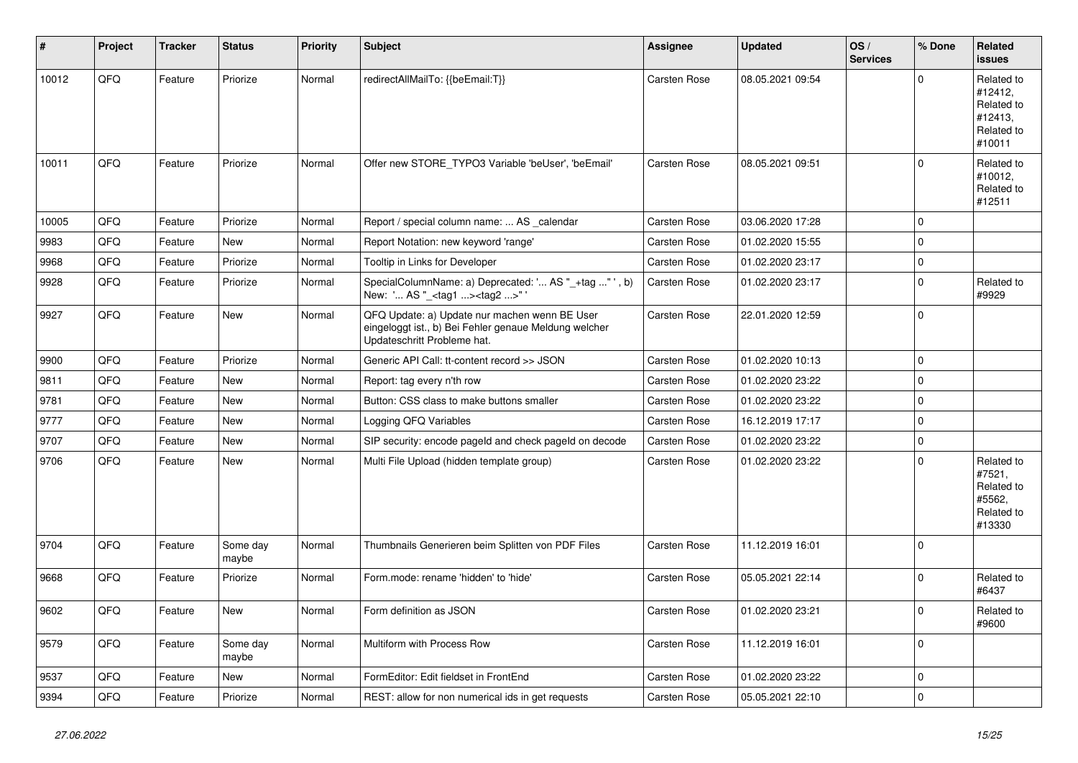| $\sharp$ | Project | <b>Tracker</b> | <b>Status</b>     | <b>Priority</b> | <b>Subject</b>                                                                                                                        | <b>Assignee</b>     | <b>Updated</b>   | OS/<br><b>Services</b> | % Done      | Related<br>issues                                                      |
|----------|---------|----------------|-------------------|-----------------|---------------------------------------------------------------------------------------------------------------------------------------|---------------------|------------------|------------------------|-------------|------------------------------------------------------------------------|
| 10012    | QFQ     | Feature        | Priorize          | Normal          | redirectAllMailTo: {{beEmail:T}}                                                                                                      | <b>Carsten Rose</b> | 08.05.2021 09:54 |                        | $\Omega$    | Related to<br>#12412,<br>Related to<br>#12413,<br>Related to<br>#10011 |
| 10011    | QFQ     | Feature        | Priorize          | Normal          | Offer new STORE_TYPO3 Variable 'beUser', 'beEmail'                                                                                    | <b>Carsten Rose</b> | 08.05.2021 09:51 |                        | $\Omega$    | Related to<br>#10012,<br>Related to<br>#12511                          |
| 10005    | QFQ     | Feature        | Priorize          | Normal          | Report / special column name:  AS _calendar                                                                                           | <b>Carsten Rose</b> | 03.06.2020 17:28 |                        | 0           |                                                                        |
| 9983     | QFQ     | Feature        | <b>New</b>        | Normal          | Report Notation: new keyword 'range'                                                                                                  | <b>Carsten Rose</b> | 01.02.2020 15:55 |                        | $\Omega$    |                                                                        |
| 9968     | QFQ     | Feature        | Priorize          | Normal          | Tooltip in Links for Developer                                                                                                        | <b>Carsten Rose</b> | 01.02.2020 23:17 |                        | 0           |                                                                        |
| 9928     | QFQ     | Feature        | Priorize          | Normal          | SpecialColumnName: a) Deprecated: ' AS "_+tag " ', b)<br>New: ' AS "_ <tag1><tag2>"'</tag2></tag1>                                    | Carsten Rose        | 01.02.2020 23:17 |                        | $\Omega$    | Related to<br>#9929                                                    |
| 9927     | QFQ     | Feature        | <b>New</b>        | Normal          | QFQ Update: a) Update nur machen wenn BE User<br>eingeloggt ist., b) Bei Fehler genaue Meldung welcher<br>Updateschritt Probleme hat. | <b>Carsten Rose</b> | 22.01.2020 12:59 |                        | $\Omega$    |                                                                        |
| 9900     | QFQ     | Feature        | Priorize          | Normal          | Generic API Call: tt-content record >> JSON                                                                                           | <b>Carsten Rose</b> | 01.02.2020 10:13 |                        | $\mathbf 0$ |                                                                        |
| 9811     | QFQ     | Feature        | New               | Normal          | Report: tag every n'th row                                                                                                            | Carsten Rose        | 01.02.2020 23:22 |                        | $\mathbf 0$ |                                                                        |
| 9781     | QFQ     | Feature        | <b>New</b>        | Normal          | Button: CSS class to make buttons smaller                                                                                             | <b>Carsten Rose</b> | 01.02.2020 23:22 |                        | 0           |                                                                        |
| 9777     | QFQ     | Feature        | New               | Normal          | Logging QFQ Variables                                                                                                                 | Carsten Rose        | 16.12.2019 17:17 |                        | 0           |                                                                        |
| 9707     | QFQ     | Feature        | <b>New</b>        | Normal          | SIP security: encode pageld and check pageld on decode                                                                                | <b>Carsten Rose</b> | 01.02.2020 23:22 |                        | $\mathbf 0$ |                                                                        |
| 9706     | QFQ     | Feature        | New               | Normal          | Multi File Upload (hidden template group)                                                                                             | <b>Carsten Rose</b> | 01.02.2020 23:22 |                        | $\Omega$    | Related to<br>#7521,<br>Related to<br>#5562.<br>Related to<br>#13330   |
| 9704     | QFQ     | Feature        | Some day<br>maybe | Normal          | Thumbnails Generieren beim Splitten von PDF Files                                                                                     | <b>Carsten Rose</b> | 11.12.2019 16:01 |                        | $\Omega$    |                                                                        |
| 9668     | QFQ     | Feature        | Priorize          | Normal          | Form.mode: rename 'hidden' to 'hide'                                                                                                  | Carsten Rose        | 05.05.2021 22:14 |                        | $\Omega$    | Related to<br>#6437                                                    |
| 9602     | QFQ     | Feature        | New               | Normal          | Form definition as JSON                                                                                                               | Carsten Rose        | 01.02.2020 23:21 |                        | $\pmb{0}$   | Related to<br>#9600                                                    |
| 9579     | QFQ     | Feature        | Some day<br>maybe | Normal          | Multiform with Process Row                                                                                                            | Carsten Rose        | 11.12.2019 16:01 |                        | $\Omega$    |                                                                        |
| 9537     | QFQ     | Feature        | New               | Normal          | FormEditor: Edit fieldset in FrontEnd                                                                                                 | Carsten Rose        | 01.02.2020 23:22 |                        | 0           |                                                                        |
| 9394     | QFQ     | Feature        | Priorize          | Normal          | REST: allow for non numerical ids in get requests                                                                                     | Carsten Rose        | 05.05.2021 22:10 |                        | $\mathbf 0$ |                                                                        |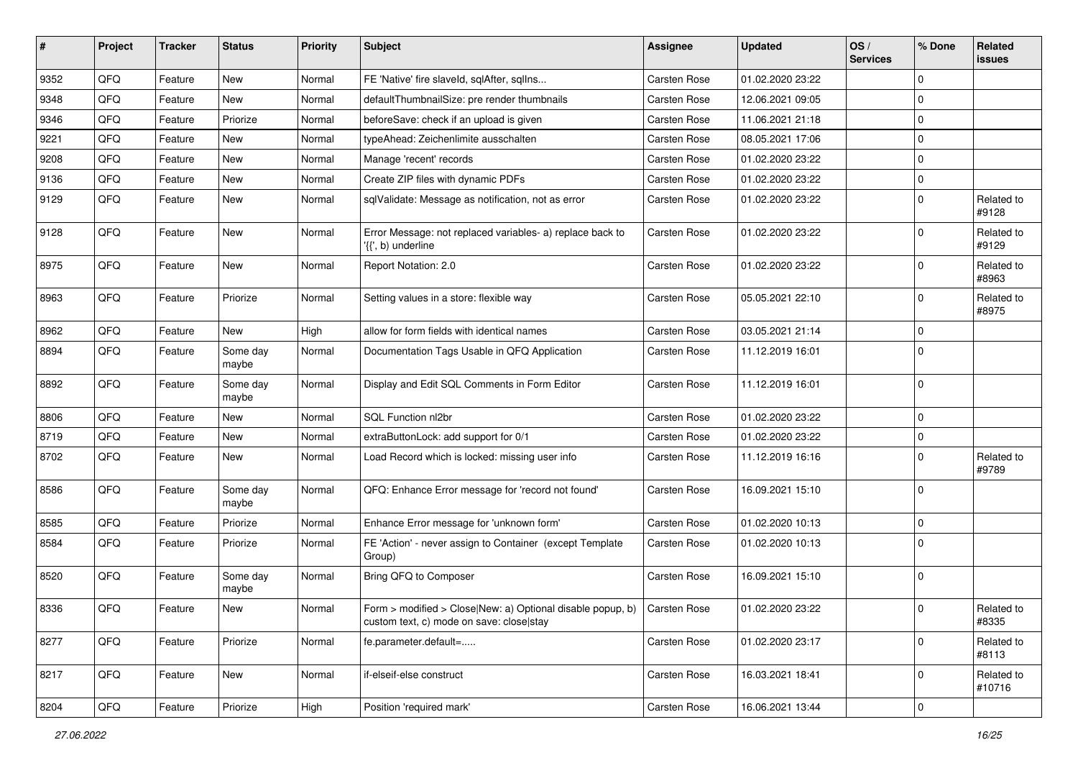| ∦    | Project        | <b>Tracker</b> | <b>Status</b>     | <b>Priority</b> | <b>Subject</b>                                                                                           | <b>Assignee</b>     | <b>Updated</b>   | OS/<br><b>Services</b> | % Done      | Related<br><b>issues</b> |
|------|----------------|----------------|-------------------|-----------------|----------------------------------------------------------------------------------------------------------|---------------------|------------------|------------------------|-------------|--------------------------|
| 9352 | QFQ            | Feature        | New               | Normal          | FE 'Native' fire slaveld, sqlAfter, sqlIns                                                               | Carsten Rose        | 01.02.2020 23:22 |                        | $\Omega$    |                          |
| 9348 | QFQ            | Feature        | New               | Normal          | defaultThumbnailSize: pre render thumbnails                                                              | Carsten Rose        | 12.06.2021 09:05 |                        | $\mathbf 0$ |                          |
| 9346 | QFQ            | Feature        | Priorize          | Normal          | beforeSave: check if an upload is given                                                                  | Carsten Rose        | 11.06.2021 21:18 |                        | $\mathbf 0$ |                          |
| 9221 | QFQ            | Feature        | New               | Normal          | typeAhead: Zeichenlimite ausschalten                                                                     | <b>Carsten Rose</b> | 08.05.2021 17:06 |                        | $\mathbf 0$ |                          |
| 9208 | QFQ            | Feature        | New               | Normal          | Manage 'recent' records                                                                                  | Carsten Rose        | 01.02.2020 23:22 |                        | $\Omega$    |                          |
| 9136 | QFQ            | Feature        | New               | Normal          | Create ZIP files with dynamic PDFs                                                                       | Carsten Rose        | 01.02.2020 23:22 |                        | $\Omega$    |                          |
| 9129 | QFQ            | Feature        | New               | Normal          | sqlValidate: Message as notification, not as error                                                       | Carsten Rose        | 01.02.2020 23:22 |                        | $\mathbf 0$ | Related to<br>#9128      |
| 9128 | QFQ            | Feature        | New               | Normal          | Error Message: not replaced variables- a) replace back to<br>'{{', b) underline                          | <b>Carsten Rose</b> | 01.02.2020 23:22 |                        | $\mathbf 0$ | Related to<br>#9129      |
| 8975 | QFQ            | Feature        | New               | Normal          | Report Notation: 2.0                                                                                     | Carsten Rose        | 01.02.2020 23:22 |                        | $\mathbf 0$ | Related to<br>#8963      |
| 8963 | QFQ            | Feature        | Priorize          | Normal          | Setting values in a store: flexible way                                                                  | <b>Carsten Rose</b> | 05.05.2021 22:10 |                        | $\mathbf 0$ | Related to<br>#8975      |
| 8962 | QFQ            | Feature        | New               | High            | allow for form fields with identical names                                                               | Carsten Rose        | 03.05.2021 21:14 |                        | $\mathbf 0$ |                          |
| 8894 | QFQ            | Feature        | Some day<br>maybe | Normal          | Documentation Tags Usable in QFQ Application                                                             | Carsten Rose        | 11.12.2019 16:01 |                        | $\Omega$    |                          |
| 8892 | QFQ            | Feature        | Some day<br>maybe | Normal          | Display and Edit SQL Comments in Form Editor                                                             | Carsten Rose        | 11.12.2019 16:01 |                        | $\mathbf 0$ |                          |
| 8806 | QFQ            | Feature        | New               | Normal          | SQL Function nl2br                                                                                       | Carsten Rose        | 01.02.2020 23:22 |                        | $\mathbf 0$ |                          |
| 8719 | QFQ            | Feature        | New               | Normal          | extraButtonLock: add support for 0/1                                                                     | Carsten Rose        | 01.02.2020 23:22 |                        | $\pmb{0}$   |                          |
| 8702 | QFQ            | Feature        | New               | Normal          | Load Record which is locked: missing user info                                                           | Carsten Rose        | 11.12.2019 16:16 |                        | $\Omega$    | Related to<br>#9789      |
| 8586 | QFQ            | Feature        | Some day<br>maybe | Normal          | QFQ: Enhance Error message for 'record not found'                                                        | Carsten Rose        | 16.09.2021 15:10 |                        | $\mathbf 0$ |                          |
| 8585 | QFQ            | Feature        | Priorize          | Normal          | Enhance Error message for 'unknown form'                                                                 | Carsten Rose        | 01.02.2020 10:13 |                        | 0           |                          |
| 8584 | QFQ            | Feature        | Priorize          | Normal          | FE 'Action' - never assign to Container (except Template<br>Group)                                       | <b>Carsten Rose</b> | 01.02.2020 10:13 |                        | $\mathbf 0$ |                          |
| 8520 | QFQ            | Feature        | Some day<br>maybe | Normal          | Bring QFQ to Composer                                                                                    | Carsten Rose        | 16.09.2021 15:10 |                        | $\mathbf 0$ |                          |
| 8336 | $\mathsf{QFQ}$ | Feature        | New               | Normal          | Form > modified > Close New: a) Optional disable popup, b)  <br>custom text, c) mode on save: close stay | Carsten Rose        | 01.02.2020 23:22 |                        | $\mathsf 0$ | Related to<br>#8335      |
| 8277 | QFQ            | Feature        | Priorize          | Normal          | fe.parameter.default=                                                                                    | Carsten Rose        | 01.02.2020 23:17 |                        | $\pmb{0}$   | Related to<br>#8113      |
| 8217 | QFQ            | Feature        | New               | Normal          | if-elseif-else construct                                                                                 | Carsten Rose        | 16.03.2021 18:41 |                        | $\pmb{0}$   | Related to<br>#10716     |
| 8204 | QFQ            | Feature        | Priorize          | High            | Position 'required mark'                                                                                 | Carsten Rose        | 16.06.2021 13:44 |                        | $\pmb{0}$   |                          |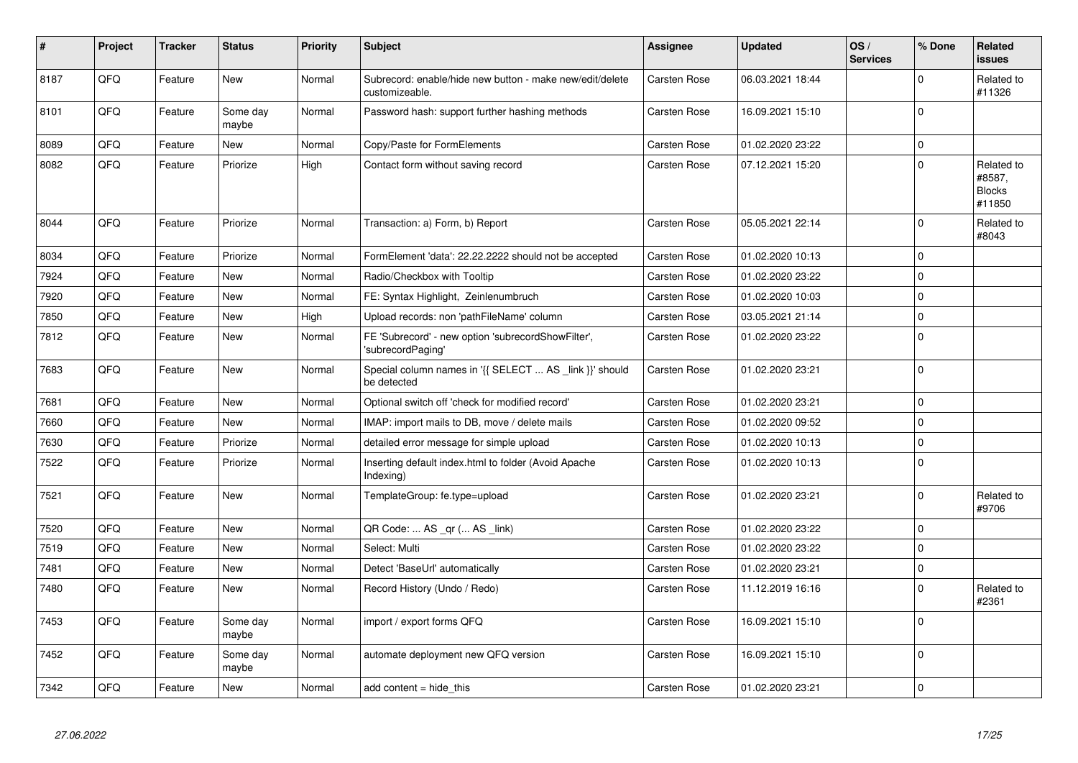| #    | Project | <b>Tracker</b> | <b>Status</b>     | <b>Priority</b> | <b>Subject</b>                                                             | <b>Assignee</b>     | <b>Updated</b>   | OS/<br><b>Services</b> | % Done      | Related<br><b>issues</b>                        |
|------|---------|----------------|-------------------|-----------------|----------------------------------------------------------------------------|---------------------|------------------|------------------------|-------------|-------------------------------------------------|
| 8187 | QFQ     | Feature        | <b>New</b>        | Normal          | Subrecord: enable/hide new button - make new/edit/delete<br>customizeable. | <b>Carsten Rose</b> | 06.03.2021 18:44 |                        | $\Omega$    | Related to<br>#11326                            |
| 8101 | QFQ     | Feature        | Some day<br>maybe | Normal          | Password hash: support further hashing methods                             | Carsten Rose        | 16.09.2021 15:10 |                        | $\mathbf 0$ |                                                 |
| 8089 | QFQ     | Feature        | New               | Normal          | Copy/Paste for FormElements                                                | Carsten Rose        | 01.02.2020 23:22 |                        | $\mathbf 0$ |                                                 |
| 8082 | QFQ     | Feature        | Priorize          | High            | Contact form without saving record                                         | Carsten Rose        | 07.12.2021 15:20 |                        | $\Omega$    | Related to<br>#8587,<br><b>Blocks</b><br>#11850 |
| 8044 | QFQ     | Feature        | Priorize          | Normal          | Transaction: a) Form, b) Report                                            | Carsten Rose        | 05.05.2021 22:14 |                        | $\Omega$    | Related to<br>#8043                             |
| 8034 | QFQ     | Feature        | Priorize          | Normal          | FormElement 'data': 22.22.2222 should not be accepted                      | Carsten Rose        | 01.02.2020 10:13 |                        | $\Omega$    |                                                 |
| 7924 | QFQ     | Feature        | New               | Normal          | Radio/Checkbox with Tooltip                                                | <b>Carsten Rose</b> | 01.02.2020 23:22 |                        | $\Omega$    |                                                 |
| 7920 | QFQ     | Feature        | <b>New</b>        | Normal          | FE: Syntax Highlight, Zeinlenumbruch                                       | Carsten Rose        | 01.02.2020 10:03 |                        | $\mathbf 0$ |                                                 |
| 7850 | QFQ     | Feature        | <b>New</b>        | High            | Upload records: non 'pathFileName' column                                  | Carsten Rose        | 03.05.2021 21:14 |                        | $\mathbf 0$ |                                                 |
| 7812 | QFQ     | Feature        | <b>New</b>        | Normal          | FE 'Subrecord' - new option 'subrecordShowFilter',<br>'subrecordPaging'    | Carsten Rose        | 01.02.2020 23:22 |                        | $\mathbf 0$ |                                                 |
| 7683 | QFQ     | Feature        | <b>New</b>        | Normal          | Special column names in '{{ SELECT  AS _link }}' should<br>be detected     | Carsten Rose        | 01.02.2020 23:21 |                        | $\mathbf 0$ |                                                 |
| 7681 | QFQ     | Feature        | <b>New</b>        | Normal          | Optional switch off 'check for modified record'                            | Carsten Rose        | 01.02.2020 23:21 |                        | $\mathbf 0$ |                                                 |
| 7660 | QFQ     | Feature        | <b>New</b>        | Normal          | IMAP: import mails to DB, move / delete mails                              | Carsten Rose        | 01.02.2020 09:52 |                        | $\Omega$    |                                                 |
| 7630 | QFQ     | Feature        | Priorize          | Normal          | detailed error message for simple upload                                   | <b>Carsten Rose</b> | 01.02.2020 10:13 |                        | $\mathbf 0$ |                                                 |
| 7522 | QFQ     | Feature        | Priorize          | Normal          | Inserting default index.html to folder (Avoid Apache<br>Indexing)          | Carsten Rose        | 01.02.2020 10:13 |                        | $\Omega$    |                                                 |
| 7521 | QFQ     | Feature        | <b>New</b>        | Normal          | TemplateGroup: fe.type=upload                                              | Carsten Rose        | 01.02.2020 23:21 |                        | $\mathbf 0$ | Related to<br>#9706                             |
| 7520 | QFQ     | Feature        | <b>New</b>        | Normal          | QR Code:  AS _qr ( AS _link)                                               | <b>Carsten Rose</b> | 01.02.2020 23:22 |                        | $\Omega$    |                                                 |
| 7519 | QFQ     | Feature        | <b>New</b>        | Normal          | Select: Multi                                                              | Carsten Rose        | 01.02.2020 23:22 |                        | $\mathbf 0$ |                                                 |
| 7481 | QFQ     | Feature        | <b>New</b>        | Normal          | Detect 'BaseUrl' automatically                                             | Carsten Rose        | 01.02.2020 23:21 |                        | $\mathbf 0$ |                                                 |
| 7480 | QFQ     | Feature        | <b>New</b>        | Normal          | Record History (Undo / Redo)                                               | Carsten Rose        | 11.12.2019 16:16 |                        | $\mathbf 0$ | Related to<br>#2361                             |
| 7453 | QFQ     | Feature        | Some day<br>maybe | Normal          | import / export forms QFQ                                                  | Carsten Rose        | 16.09.2021 15:10 |                        | $\Omega$    |                                                 |
| 7452 | QFQ     | Feature        | Some day<br>maybe | Normal          | automate deployment new QFQ version                                        | Carsten Rose        | 16.09.2021 15:10 |                        | $\Omega$    |                                                 |
| 7342 | QFQ     | Feature        | <b>New</b>        | Normal          | add content $=$ hide this                                                  | Carsten Rose        | 01.02.2020 23:21 |                        | $\mathbf 0$ |                                                 |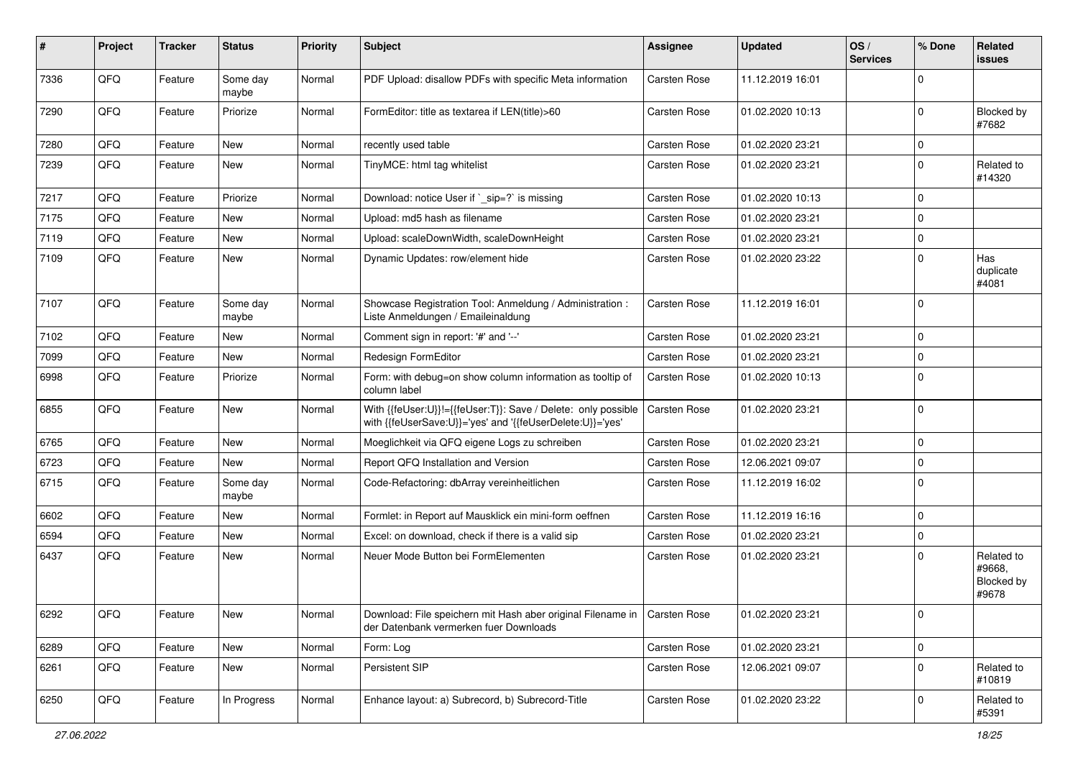| #    | Project | <b>Tracker</b> | <b>Status</b>     | <b>Priority</b> | <b>Subject</b>                                                                                                             | <b>Assignee</b>     | <b>Updated</b>   | OS/<br><b>Services</b> | % Done      | Related<br>issues                           |
|------|---------|----------------|-------------------|-----------------|----------------------------------------------------------------------------------------------------------------------------|---------------------|------------------|------------------------|-------------|---------------------------------------------|
| 7336 | QFQ     | Feature        | Some day<br>maybe | Normal          | PDF Upload: disallow PDFs with specific Meta information                                                                   | <b>Carsten Rose</b> | 11.12.2019 16:01 |                        | $\Omega$    |                                             |
| 7290 | QFQ     | Feature        | Priorize          | Normal          | FormEditor: title as textarea if LEN(title)>60                                                                             | <b>Carsten Rose</b> | 01.02.2020 10:13 |                        | 0           | Blocked by<br>#7682                         |
| 7280 | QFQ     | Feature        | New               | Normal          | recently used table                                                                                                        | <b>Carsten Rose</b> | 01.02.2020 23:21 |                        | 0           |                                             |
| 7239 | QFQ     | Feature        | <b>New</b>        | Normal          | TinyMCE: html tag whitelist                                                                                                | Carsten Rose        | 01.02.2020 23:21 |                        | $\mathbf 0$ | Related to<br>#14320                        |
| 7217 | QFQ     | Feature        | Priorize          | Normal          | Download: notice User if `_sip=?` is missing                                                                               | <b>Carsten Rose</b> | 01.02.2020 10:13 |                        | $\Omega$    |                                             |
| 7175 | QFQ     | Feature        | <b>New</b>        | Normal          | Upload: md5 hash as filename                                                                                               | <b>Carsten Rose</b> | 01.02.2020 23:21 |                        | $\mathbf 0$ |                                             |
| 7119 | QFQ     | Feature        | New               | Normal          | Upload: scaleDownWidth, scaleDownHeight                                                                                    | Carsten Rose        | 01.02.2020 23:21 |                        | $\mathbf 0$ |                                             |
| 7109 | QFQ     | Feature        | <b>New</b>        | Normal          | Dynamic Updates: row/element hide                                                                                          | Carsten Rose        | 01.02.2020 23:22 |                        | $\mathbf 0$ | Has<br>duplicate<br>#4081                   |
| 7107 | QFQ     | Feature        | Some day<br>maybe | Normal          | Showcase Registration Tool: Anmeldung / Administration :<br>Liste Anmeldungen / Emaileinaldung                             | Carsten Rose        | 11.12.2019 16:01 |                        | $\Omega$    |                                             |
| 7102 | QFQ     | Feature        | New               | Normal          | Comment sign in report: '#' and '--'                                                                                       | <b>Carsten Rose</b> | 01.02.2020 23:21 |                        | $\mathbf 0$ |                                             |
| 7099 | QFQ     | Feature        | <b>New</b>        | Normal          | Redesign FormEditor                                                                                                        | <b>Carsten Rose</b> | 01.02.2020 23:21 |                        | $\mathbf 0$ |                                             |
| 6998 | QFQ     | Feature        | Priorize          | Normal          | Form: with debug=on show column information as tooltip of<br>column label                                                  | Carsten Rose        | 01.02.2020 10:13 |                        | 0           |                                             |
| 6855 | QFQ     | Feature        | <b>New</b>        | Normal          | With {{feUser:U}}!={{feUser:T}}: Save / Delete: only possible<br>with {{feUserSave:U}}='yes' and '{{feUserDelete:U}}='yes' | <b>Carsten Rose</b> | 01.02.2020 23:21 |                        | $\mathbf 0$ |                                             |
| 6765 | QFQ     | Feature        | <b>New</b>        | Normal          | Moeglichkeit via QFQ eigene Logs zu schreiben                                                                              | <b>Carsten Rose</b> | 01.02.2020 23:21 |                        | $\mathbf 0$ |                                             |
| 6723 | QFQ     | Feature        | <b>New</b>        | Normal          | Report QFQ Installation and Version                                                                                        | <b>Carsten Rose</b> | 12.06.2021 09:07 |                        | $\mathbf 0$ |                                             |
| 6715 | QFQ     | Feature        | Some day<br>maybe | Normal          | Code-Refactoring: dbArray vereinheitlichen                                                                                 | Carsten Rose        | 11.12.2019 16:02 |                        | 0           |                                             |
| 6602 | QFQ     | Feature        | New               | Normal          | Formlet: in Report auf Mausklick ein mini-form oeffnen                                                                     | Carsten Rose        | 11.12.2019 16:16 |                        | $\mathbf 0$ |                                             |
| 6594 | QFQ     | Feature        | New               | Normal          | Excel: on download, check if there is a valid sip                                                                          | Carsten Rose        | 01.02.2020 23:21 |                        | $\Omega$    |                                             |
| 6437 | QFQ     | Feature        | <b>New</b>        | Normal          | Neuer Mode Button bei FormElementen                                                                                        | Carsten Rose        | 01.02.2020 23:21 |                        | $\Omega$    | Related to<br>#9668.<br>Blocked by<br>#9678 |
| 6292 | QFQ     | Feature        | New               | Normal          | Download: File speichern mit Hash aber original Filename in   Carsten Rose<br>der Datenbank vermerken fuer Downloads       |                     | 01.02.2020 23:21 |                        | 0           |                                             |
| 6289 | QFQ     | Feature        | New               | Normal          | Form: Log                                                                                                                  | Carsten Rose        | 01.02.2020 23:21 |                        | $\mathbf 0$ |                                             |
| 6261 | QFQ     | Feature        | New               | Normal          | Persistent SIP                                                                                                             | Carsten Rose        | 12.06.2021 09:07 |                        | 0           | Related to<br>#10819                        |
| 6250 | QFG     | Feature        | In Progress       | Normal          | Enhance layout: a) Subrecord, b) Subrecord-Title                                                                           | Carsten Rose        | 01.02.2020 23:22 |                        | 0           | Related to<br>#5391                         |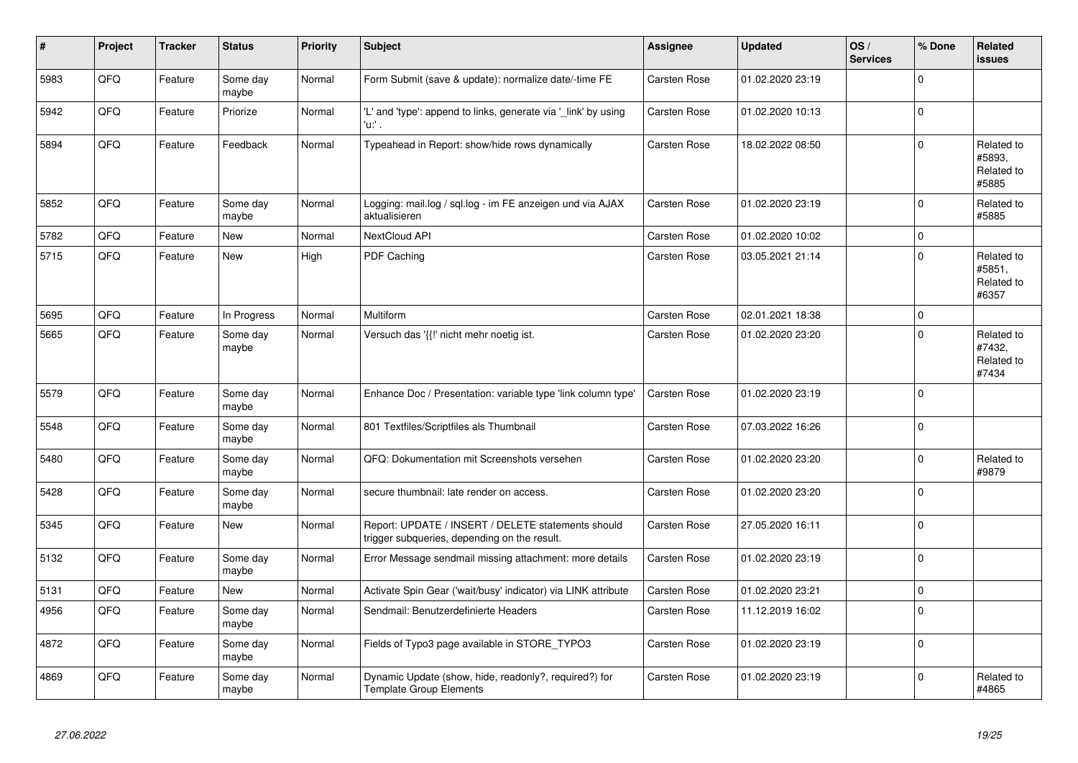| ∦    | Project | <b>Tracker</b> | <b>Status</b>     | <b>Priority</b> | <b>Subject</b>                                                                                     | <b>Assignee</b>     | <b>Updated</b>   | OS/<br><b>Services</b> | % Done      | Related<br><b>issues</b>                    |
|------|---------|----------------|-------------------|-----------------|----------------------------------------------------------------------------------------------------|---------------------|------------------|------------------------|-------------|---------------------------------------------|
| 5983 | QFQ     | Feature        | Some day<br>maybe | Normal          | Form Submit (save & update): normalize date/-time FE                                               | Carsten Rose        | 01.02.2020 23:19 |                        | $\Omega$    |                                             |
| 5942 | QFQ     | Feature        | Priorize          | Normal          | 'L' and 'type': append to links, generate via '_link' by using<br>u. .                             | Carsten Rose        | 01.02.2020 10:13 |                        | $\mathbf 0$ |                                             |
| 5894 | QFQ     | Feature        | Feedback          | Normal          | Typeahead in Report: show/hide rows dynamically                                                    | <b>Carsten Rose</b> | 18.02.2022 08:50 |                        | $\Omega$    | Related to<br>#5893,<br>Related to<br>#5885 |
| 5852 | QFQ     | Feature        | Some day<br>maybe | Normal          | Logging: mail.log / sql.log - im FE anzeigen und via AJAX<br>aktualisieren                         | <b>Carsten Rose</b> | 01.02.2020 23:19 |                        | $\Omega$    | Related to<br>#5885                         |
| 5782 | QFQ     | Feature        | <b>New</b>        | Normal          | NextCloud API                                                                                      | Carsten Rose        | 01.02.2020 10:02 |                        | $\mathbf 0$ |                                             |
| 5715 | QFQ     | Feature        | <b>New</b>        | High            | PDF Caching                                                                                        | Carsten Rose        | 03.05.2021 21:14 |                        | $\Omega$    | Related to<br>#5851,<br>Related to<br>#6357 |
| 5695 | QFQ     | Feature        | In Progress       | Normal          | Multiform                                                                                          | Carsten Rose        | 02.01.2021 18:38 |                        | $\mathbf 0$ |                                             |
| 5665 | QFQ     | Feature        | Some day<br>maybe | Normal          | Versuch das '{{!' nicht mehr noetig ist.                                                           | Carsten Rose        | 01.02.2020 23:20 |                        | $\Omega$    | Related to<br>#7432,<br>Related to<br>#7434 |
| 5579 | QFQ     | Feature        | Some day<br>maybe | Normal          | Enhance Doc / Presentation: variable type 'link column type'                                       | Carsten Rose        | 01.02.2020 23:19 |                        | $\Omega$    |                                             |
| 5548 | QFQ     | Feature        | Some day<br>maybe | Normal          | 801 Textfiles/Scriptfiles als Thumbnail                                                            | Carsten Rose        | 07.03.2022 16:26 |                        | $\mathbf 0$ |                                             |
| 5480 | QFQ     | Feature        | Some day<br>maybe | Normal          | QFQ: Dokumentation mit Screenshots versehen                                                        | Carsten Rose        | 01.02.2020 23:20 |                        | $\mathbf 0$ | Related to<br>#9879                         |
| 5428 | QFQ     | Feature        | Some day<br>maybe | Normal          | secure thumbnail: late render on access.                                                           | <b>Carsten Rose</b> | 01.02.2020 23:20 |                        | $\Omega$    |                                             |
| 5345 | QFQ     | Feature        | New               | Normal          | Report: UPDATE / INSERT / DELETE statements should<br>trigger subqueries, depending on the result. | Carsten Rose        | 27.05.2020 16:11 |                        | $\Omega$    |                                             |
| 5132 | QFQ     | Feature        | Some day<br>maybe | Normal          | Error Message sendmail missing attachment: more details                                            | Carsten Rose        | 01.02.2020 23:19 |                        | $\Omega$    |                                             |
| 5131 | QFQ     | Feature        | <b>New</b>        | Normal          | Activate Spin Gear ('wait/busy' indicator) via LINK attribute                                      | <b>Carsten Rose</b> | 01.02.2020 23:21 |                        | $\mathbf 0$ |                                             |
| 4956 | QFQ     | Feature        | Some day<br>maybe | Normal          | Sendmail: Benutzerdefinierte Headers                                                               | Carsten Rose        | 11.12.2019 16:02 |                        | $\Omega$    |                                             |
| 4872 | QFQ     | Feature        | Some day<br>maybe | Normal          | Fields of Typo3 page available in STORE TYPO3                                                      | Carsten Rose        | 01.02.2020 23:19 |                        | $\mathbf 0$ |                                             |
| 4869 | QFQ     | Feature        | Some day<br>maybe | Normal          | Dynamic Update (show, hide, readonly?, required?) for<br><b>Template Group Elements</b>            | Carsten Rose        | 01.02.2020 23:19 |                        | $\Omega$    | Related to<br>#4865                         |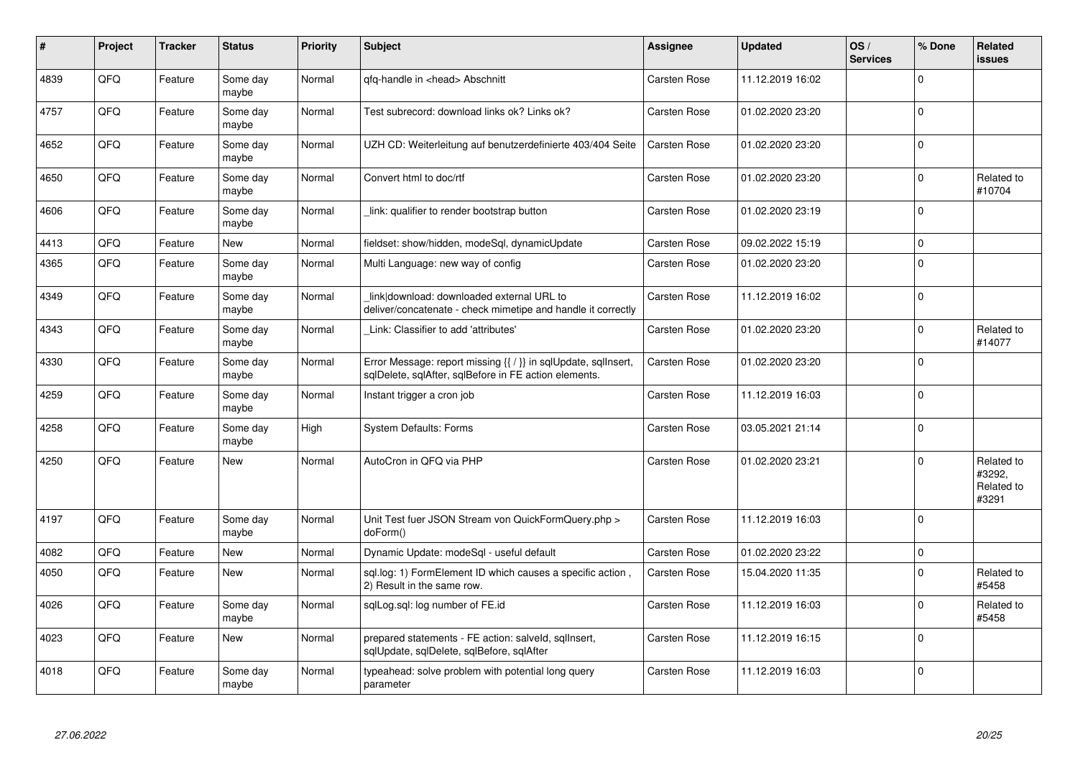| #    | Project | <b>Tracker</b> | <b>Status</b>     | <b>Priority</b> | <b>Subject</b>                                                                                                          | Assignee            | <b>Updated</b>   | OS/<br><b>Services</b> | % Done      | <b>Related</b><br><b>issues</b>             |
|------|---------|----------------|-------------------|-----------------|-------------------------------------------------------------------------------------------------------------------------|---------------------|------------------|------------------------|-------------|---------------------------------------------|
| 4839 | QFQ     | Feature        | Some day<br>maybe | Normal          | qfq-handle in <head> Abschnitt</head>                                                                                   | Carsten Rose        | 11.12.2019 16:02 |                        | $\Omega$    |                                             |
| 4757 | QFQ     | Feature        | Some day<br>maybe | Normal          | Test subrecord: download links ok? Links ok?                                                                            | Carsten Rose        | 01.02.2020 23:20 |                        | $\mathbf 0$ |                                             |
| 4652 | QFQ     | Feature        | Some day<br>maybe | Normal          | UZH CD: Weiterleitung auf benutzerdefinierte 403/404 Seite                                                              | <b>Carsten Rose</b> | 01.02.2020 23:20 |                        | $\mathbf 0$ |                                             |
| 4650 | QFQ     | Feature        | Some day<br>maybe | Normal          | Convert html to doc/rtf                                                                                                 | Carsten Rose        | 01.02.2020 23:20 |                        | $\Omega$    | Related to<br>#10704                        |
| 4606 | QFQ     | Feature        | Some day<br>maybe | Normal          | link: qualifier to render bootstrap button                                                                              | <b>Carsten Rose</b> | 01.02.2020 23:19 |                        | $\mathbf 0$ |                                             |
| 4413 | QFQ     | Feature        | <b>New</b>        | Normal          | fieldset: show/hidden, modeSql, dynamicUpdate                                                                           | <b>Carsten Rose</b> | 09.02.2022 15:19 |                        | $\mathbf 0$ |                                             |
| 4365 | QFQ     | Feature        | Some day<br>maybe | Normal          | Multi Language: new way of config                                                                                       | <b>Carsten Rose</b> | 01.02.2020 23:20 |                        | $\mathbf 0$ |                                             |
| 4349 | QFQ     | Feature        | Some day<br>maybe | Normal          | link download: downloaded external URL to<br>deliver/concatenate - check mimetipe and handle it correctly               | <b>Carsten Rose</b> | 11.12.2019 16:02 |                        | $\mathbf 0$ |                                             |
| 4343 | QFQ     | Feature        | Some day<br>maybe | Normal          | Link: Classifier to add 'attributes'                                                                                    | <b>Carsten Rose</b> | 01.02.2020 23:20 |                        | $\mathbf 0$ | Related to<br>#14077                        |
| 4330 | QFQ     | Feature        | Some day<br>maybe | Normal          | Error Message: report missing {{ / }} in sqlUpdate, sqlInsert,<br>sglDelete, sglAfter, sglBefore in FE action elements. | Carsten Rose        | 01.02.2020 23:20 |                        | $\mathbf 0$ |                                             |
| 4259 | QFQ     | Feature        | Some day<br>maybe | Normal          | Instant trigger a cron job                                                                                              | <b>Carsten Rose</b> | 11.12.2019 16:03 |                        | $\Omega$    |                                             |
| 4258 | QFQ     | Feature        | Some day<br>maybe | High            | <b>System Defaults: Forms</b>                                                                                           | Carsten Rose        | 03.05.2021 21:14 |                        | $\mathbf 0$ |                                             |
| 4250 | QFQ     | Feature        | <b>New</b>        | Normal          | AutoCron in QFQ via PHP                                                                                                 | <b>Carsten Rose</b> | 01.02.2020 23:21 |                        | $\mathbf 0$ | Related to<br>#3292,<br>Related to<br>#3291 |
| 4197 | QFQ     | Feature        | Some day<br>maybe | Normal          | Unit Test fuer JSON Stream von QuickFormQuery.php ><br>doForm()                                                         | <b>Carsten Rose</b> | 11.12.2019 16:03 |                        | $\Omega$    |                                             |
| 4082 | QFQ     | Feature        | New               | Normal          | Dynamic Update: modeSql - useful default                                                                                | Carsten Rose        | 01.02.2020 23:22 |                        | $\mathbf 0$ |                                             |
| 4050 | QFQ     | Feature        | <b>New</b>        | Normal          | sql.log: 1) FormElement ID which causes a specific action,<br>2) Result in the same row.                                | <b>Carsten Rose</b> | 15.04.2020 11:35 |                        | $\Omega$    | Related to<br>#5458                         |
| 4026 | QFQ     | Feature        | Some day<br>maybe | Normal          | sqlLog.sql: log number of FE.id                                                                                         | <b>Carsten Rose</b> | 11.12.2019 16:03 |                        | $\mathbf 0$ | Related to<br>#5458                         |
| 4023 | QFQ     | Feature        | <b>New</b>        | Normal          | prepared statements - FE action: salveld, sqllnsert,<br>sqlUpdate, sqlDelete, sqlBefore, sqlAfter                       | Carsten Rose        | 11.12.2019 16:15 |                        | $\Omega$    |                                             |
| 4018 | QFQ     | Feature        | Some day<br>maybe | Normal          | typeahead: solve problem with potential long query<br>parameter                                                         | Carsten Rose        | 11.12.2019 16:03 |                        | $\Omega$    |                                             |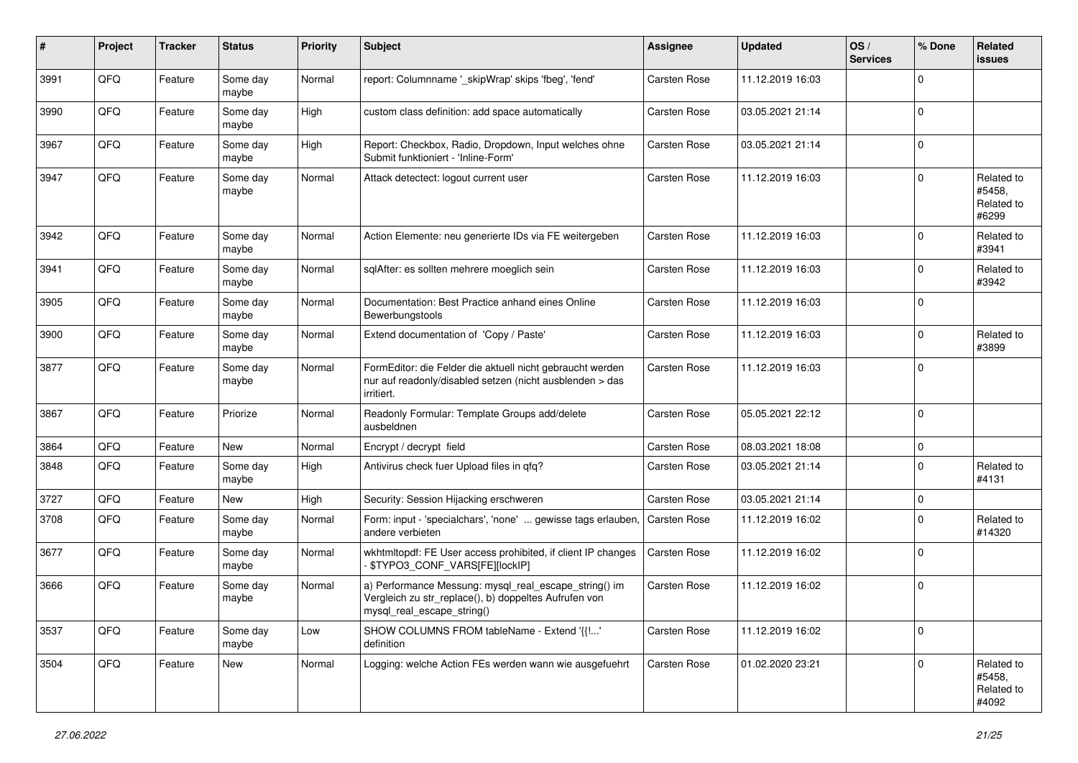| $\pmb{\#}$ | Project | <b>Tracker</b> | <b>Status</b>     | <b>Priority</b> | <b>Subject</b>                                                                                                                               | Assignee            | <b>Updated</b>   | OS/<br><b>Services</b> | % Done      | Related<br><b>issues</b>                    |
|------------|---------|----------------|-------------------|-----------------|----------------------------------------------------------------------------------------------------------------------------------------------|---------------------|------------------|------------------------|-------------|---------------------------------------------|
| 3991       | QFQ     | Feature        | Some day<br>maybe | Normal          | report: Columnname '_skipWrap' skips 'fbeg', 'fend'                                                                                          | Carsten Rose        | 11.12.2019 16:03 |                        | $\Omega$    |                                             |
| 3990       | QFQ     | Feature        | Some day<br>maybe | High            | custom class definition: add space automatically                                                                                             | Carsten Rose        | 03.05.2021 21:14 |                        | $\mathbf 0$ |                                             |
| 3967       | QFQ     | Feature        | Some day<br>maybe | High            | Report: Checkbox, Radio, Dropdown, Input welches ohne<br>Submit funktioniert - 'Inline-Form'                                                 | Carsten Rose        | 03.05.2021 21:14 |                        | $\Omega$    |                                             |
| 3947       | QFQ     | Feature        | Some day<br>maybe | Normal          | Attack detectect: logout current user                                                                                                        | Carsten Rose        | 11.12.2019 16:03 |                        | $\mathbf 0$ | Related to<br>#5458,<br>Related to<br>#6299 |
| 3942       | QFQ     | Feature        | Some day<br>maybe | Normal          | Action Elemente: neu generierte IDs via FE weitergeben                                                                                       | Carsten Rose        | 11.12.2019 16:03 |                        | $\Omega$    | Related to<br>#3941                         |
| 3941       | QFQ     | Feature        | Some day<br>maybe | Normal          | sqlAfter: es sollten mehrere moeglich sein                                                                                                   | Carsten Rose        | 11.12.2019 16:03 |                        | $\mathbf 0$ | Related to<br>#3942                         |
| 3905       | QFQ     | Feature        | Some day<br>maybe | Normal          | Documentation: Best Practice anhand eines Online<br>Bewerbungstools                                                                          | Carsten Rose        | 11.12.2019 16:03 |                        | $\mathbf 0$ |                                             |
| 3900       | QFQ     | Feature        | Some day<br>maybe | Normal          | Extend documentation of 'Copy / Paste'                                                                                                       | <b>Carsten Rose</b> | 11.12.2019 16:03 |                        | $\mathbf 0$ | Related to<br>#3899                         |
| 3877       | QFQ     | Feature        | Some day<br>maybe | Normal          | FormEditor: die Felder die aktuell nicht gebraucht werden<br>nur auf readonly/disabled setzen (nicht ausblenden > das<br>irritiert.          | Carsten Rose        | 11.12.2019 16:03 |                        | $\mathbf 0$ |                                             |
| 3867       | QFQ     | Feature        | Priorize          | Normal          | Readonly Formular: Template Groups add/delete<br>ausbeldnen                                                                                  | Carsten Rose        | 05.05.2021 22:12 |                        | $\Omega$    |                                             |
| 3864       | QFQ     | Feature        | New               | Normal          | Encrypt / decrypt field                                                                                                                      | Carsten Rose        | 08.03.2021 18:08 |                        | $\pmb{0}$   |                                             |
| 3848       | QFQ     | Feature        | Some day<br>maybe | High            | Antivirus check fuer Upload files in qfq?                                                                                                    | Carsten Rose        | 03.05.2021 21:14 |                        | $\mathbf 0$ | Related to<br>#4131                         |
| 3727       | QFQ     | Feature        | New               | High            | Security: Session Hijacking erschweren                                                                                                       | <b>Carsten Rose</b> | 03.05.2021 21:14 |                        | $\pmb{0}$   |                                             |
| 3708       | QFQ     | Feature        | Some day<br>maybe | Normal          | Form: input - 'specialchars', 'none'  gewisse tags erlauben,<br>andere verbieten                                                             | Carsten Rose        | 11.12.2019 16:02 |                        | $\mathbf 0$ | Related to<br>#14320                        |
| 3677       | QFQ     | Feature        | Some day<br>maybe | Normal          | wkhtmltopdf: FE User access prohibited, if client IP changes<br>\$TYPO3_CONF_VARS[FE][lockIP]                                                | Carsten Rose        | 11.12.2019 16:02 |                        | $\Omega$    |                                             |
| 3666       | QFQ     | Feature        | Some day<br>maybe | Normal          | a) Performance Messung: mysql_real_escape_string() im<br>Vergleich zu str_replace(), b) doppeltes Aufrufen von<br>mysql_real_escape_string() | Carsten Rose        | 11.12.2019 16:02 |                        | $\pmb{0}$   |                                             |
| 3537       | QFQ     | Feature        | Some day<br>maybe | Low             | SHOW COLUMNS FROM tableName - Extend '{{!'<br>definition                                                                                     | <b>Carsten Rose</b> | 11.12.2019 16:02 |                        | $\pmb{0}$   |                                             |
| 3504       | QFQ     | Feature        | New               | Normal          | Logging: welche Action FEs werden wann wie ausgefuehrt                                                                                       | Carsten Rose        | 01.02.2020 23:21 |                        | $\mathbf 0$ | Related to<br>#5458,<br>Related to<br>#4092 |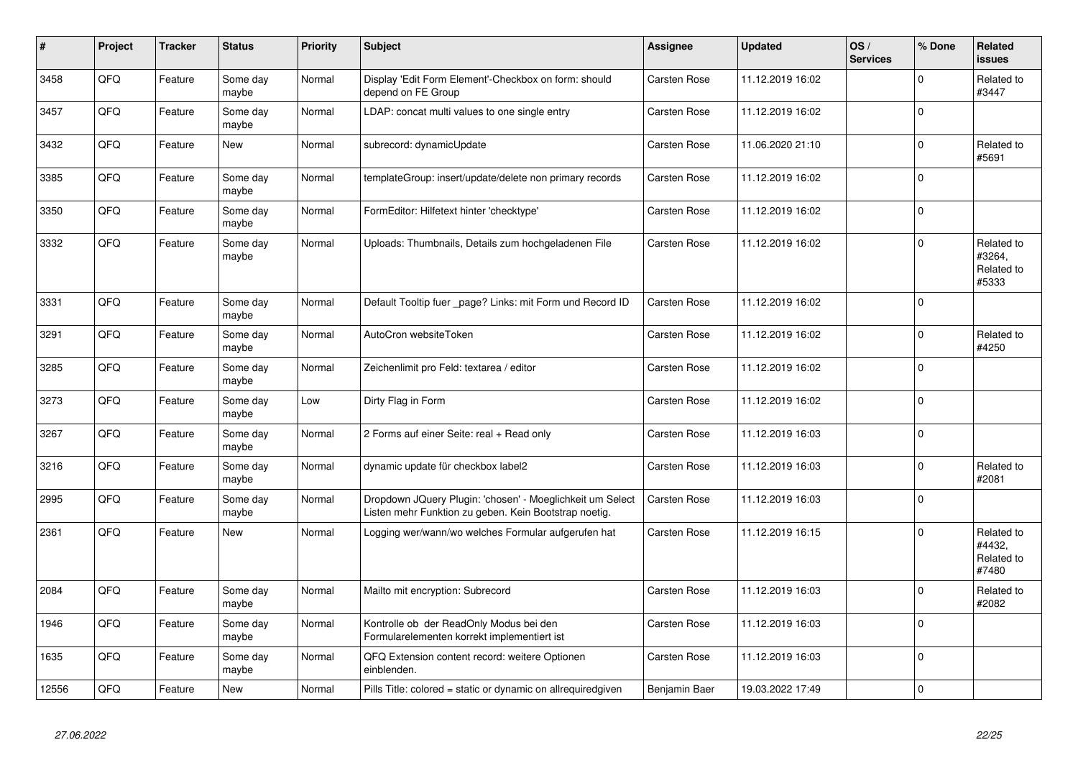| #     | Project | <b>Tracker</b> | <b>Status</b>     | <b>Priority</b> | <b>Subject</b>                                                                                                     | <b>Assignee</b>     | <b>Updated</b>   | OS/<br><b>Services</b> | % Done      | <b>Related</b><br><b>issues</b>             |
|-------|---------|----------------|-------------------|-----------------|--------------------------------------------------------------------------------------------------------------------|---------------------|------------------|------------------------|-------------|---------------------------------------------|
| 3458  | QFQ     | Feature        | Some day<br>maybe | Normal          | Display 'Edit Form Element'-Checkbox on form: should<br>depend on FE Group                                         | <b>Carsten Rose</b> | 11.12.2019 16:02 |                        | $\mathbf 0$ | Related to<br>#3447                         |
| 3457  | QFQ     | Feature        | Some day<br>maybe | Normal          | LDAP: concat multi values to one single entry                                                                      | Carsten Rose        | 11.12.2019 16:02 |                        | $\mathbf 0$ |                                             |
| 3432  | QFQ     | Feature        | <b>New</b>        | Normal          | subrecord: dynamicUpdate                                                                                           | Carsten Rose        | 11.06.2020 21:10 |                        | $\pmb{0}$   | Related to<br>#5691                         |
| 3385  | QFQ     | Feature        | Some day<br>maybe | Normal          | templateGroup: insert/update/delete non primary records                                                            | Carsten Rose        | 11.12.2019 16:02 |                        | $\mathbf 0$ |                                             |
| 3350  | QFQ     | Feature        | Some day<br>maybe | Normal          | FormEditor: Hilfetext hinter 'checktype'                                                                           | Carsten Rose        | 11.12.2019 16:02 |                        | $\mathbf 0$ |                                             |
| 3332  | QFQ     | Feature        | Some day<br>maybe | Normal          | Uploads: Thumbnails, Details zum hochgeladenen File                                                                | Carsten Rose        | 11.12.2019 16:02 |                        | $\mathbf 0$ | Related to<br>#3264,<br>Related to<br>#5333 |
| 3331  | QFQ     | Feature        | Some day<br>maybe | Normal          | Default Tooltip fuer page? Links: mit Form und Record ID                                                           | Carsten Rose        | 11.12.2019 16:02 |                        | $\mathbf 0$ |                                             |
| 3291  | QFQ     | Feature        | Some day<br>maybe | Normal          | AutoCron websiteToken                                                                                              | Carsten Rose        | 11.12.2019 16:02 |                        | $\mathbf 0$ | Related to<br>#4250                         |
| 3285  | QFQ     | Feature        | Some day<br>maybe | Normal          | Zeichenlimit pro Feld: textarea / editor                                                                           | <b>Carsten Rose</b> | 11.12.2019 16:02 |                        | $\pmb{0}$   |                                             |
| 3273  | QFQ     | Feature        | Some day<br>maybe | Low             | Dirty Flag in Form                                                                                                 | Carsten Rose        | 11.12.2019 16:02 |                        | $\mathbf 0$ |                                             |
| 3267  | QFQ     | Feature        | Some day<br>maybe | Normal          | 2 Forms auf einer Seite: real + Read only                                                                          | <b>Carsten Rose</b> | 11.12.2019 16:03 |                        | $\mathbf 0$ |                                             |
| 3216  | QFQ     | Feature        | Some day<br>maybe | Normal          | dynamic update für checkbox label2                                                                                 | <b>Carsten Rose</b> | 11.12.2019 16:03 |                        | $\mathsf 0$ | Related to<br>#2081                         |
| 2995  | QFQ     | Feature        | Some day<br>maybe | Normal          | Dropdown JQuery Plugin: 'chosen' - Moeglichkeit um Select<br>Listen mehr Funktion zu geben. Kein Bootstrap noetig. | Carsten Rose        | 11.12.2019 16:03 |                        | $\mathbf 0$ |                                             |
| 2361  | QFQ     | Feature        | <b>New</b>        | Normal          | Logging wer/wann/wo welches Formular aufgerufen hat                                                                | <b>Carsten Rose</b> | 11.12.2019 16:15 |                        | $\Omega$    | Related to<br>#4432,<br>Related to<br>#7480 |
| 2084  | QFQ     | Feature        | Some day<br>maybe | Normal          | Mailto mit encryption: Subrecord                                                                                   | <b>Carsten Rose</b> | 11.12.2019 16:03 |                        | $\mathbf 0$ | Related to<br>#2082                         |
| 1946  | QFQ     | Feature        | Some day<br>maybe | Normal          | Kontrolle ob der ReadOnly Modus bei den<br>Formularelementen korrekt implementiert ist                             | <b>Carsten Rose</b> | 11.12.2019 16:03 |                        | $\mathbf 0$ |                                             |
| 1635  | QFQ     | Feature        | Some day<br>maybe | Normal          | QFQ Extension content record: weitere Optionen<br>einblenden.                                                      | <b>Carsten Rose</b> | 11.12.2019 16:03 |                        | $\mathbf 0$ |                                             |
| 12556 | QFQ     | Feature        | <b>New</b>        | Normal          | Pills Title: colored = static or dynamic on allrequiredgiven                                                       | Benjamin Baer       | 19.03.2022 17:49 |                        | $\mathbf 0$ |                                             |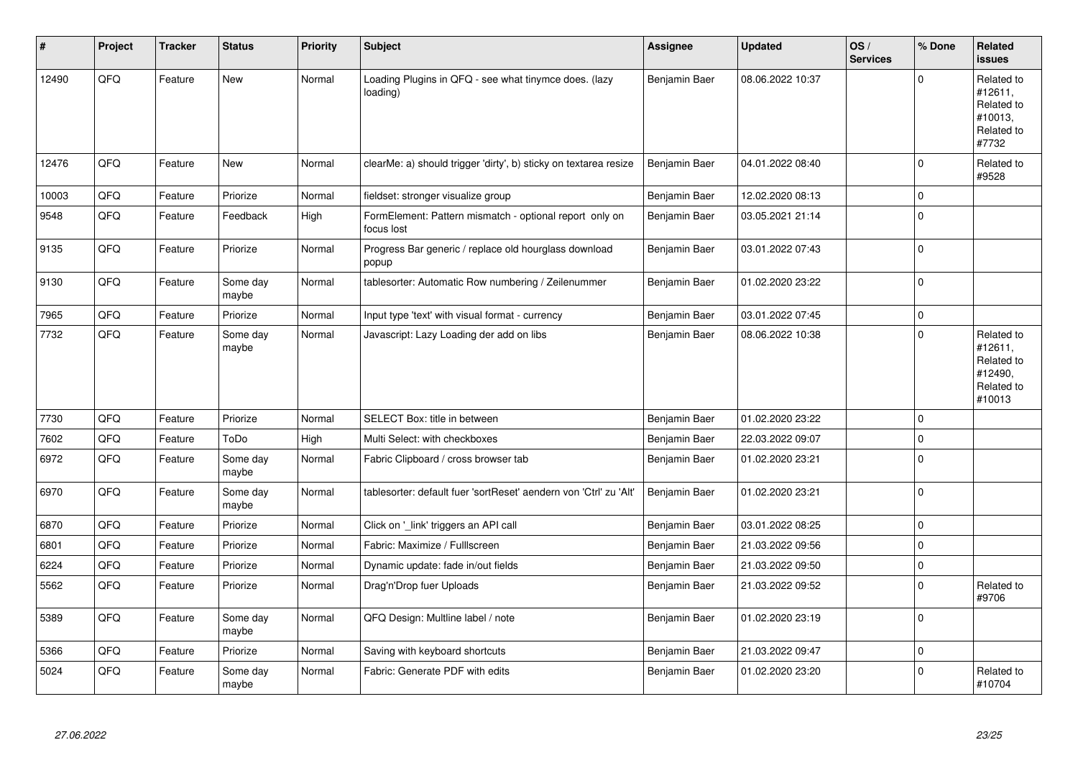| ∦     | Project | <b>Tracker</b> | <b>Status</b>     | Priority | <b>Subject</b>                                                        | <b>Assignee</b> | <b>Updated</b>   | OS/<br><b>Services</b> | % Done      | Related<br><b>issues</b>                                               |
|-------|---------|----------------|-------------------|----------|-----------------------------------------------------------------------|-----------------|------------------|------------------------|-------------|------------------------------------------------------------------------|
| 12490 | QFQ     | Feature        | <b>New</b>        | Normal   | Loading Plugins in QFQ - see what tinymce does. (lazy<br>loading)     | Benjamin Baer   | 08.06.2022 10:37 |                        | $\Omega$    | Related to<br>#12611,<br>Related to<br>#10013,<br>Related to<br>#7732  |
| 12476 | QFQ     | Feature        | New               | Normal   | clearMe: a) should trigger 'dirty', b) sticky on textarea resize      | Benjamin Baer   | 04.01.2022 08:40 |                        | $\mathbf 0$ | Related to<br>#9528                                                    |
| 10003 | QFQ     | Feature        | Priorize          | Normal   | fieldset: stronger visualize group                                    | Benjamin Baer   | 12.02.2020 08:13 |                        | $\mathbf 0$ |                                                                        |
| 9548  | QFQ     | Feature        | Feedback          | High     | FormElement: Pattern mismatch - optional report only on<br>focus lost | Benjamin Baer   | 03.05.2021 21:14 |                        | $\mathbf 0$ |                                                                        |
| 9135  | QFQ     | Feature        | Priorize          | Normal   | Progress Bar generic / replace old hourglass download<br>popup        | Benjamin Baer   | 03.01.2022 07:43 |                        | $\mathbf 0$ |                                                                        |
| 9130  | QFQ     | Feature        | Some day<br>maybe | Normal   | tablesorter: Automatic Row numbering / Zeilenummer                    | Benjamin Baer   | 01.02.2020 23:22 |                        | $\mathbf 0$ |                                                                        |
| 7965  | QFQ     | Feature        | Priorize          | Normal   | Input type 'text' with visual format - currency                       | Benjamin Baer   | 03.01.2022 07:45 |                        | $\Omega$    |                                                                        |
| 7732  | QFQ     | Feature        | Some day<br>maybe | Normal   | Javascript: Lazy Loading der add on libs                              | Benjamin Baer   | 08.06.2022 10:38 |                        | $\mathbf 0$ | Related to<br>#12611,<br>Related to<br>#12490,<br>Related to<br>#10013 |
| 7730  | QFQ     | Feature        | Priorize          | Normal   | SELECT Box: title in between                                          | Benjamin Baer   | 01.02.2020 23:22 |                        | $\mathbf 0$ |                                                                        |
| 7602  | QFQ     | Feature        | ToDo              | High     | Multi Select: with checkboxes                                         | Benjamin Baer   | 22.03.2022 09:07 |                        | $\mathbf 0$ |                                                                        |
| 6972  | QFQ     | Feature        | Some day<br>maybe | Normal   | Fabric Clipboard / cross browser tab                                  | Benjamin Baer   | 01.02.2020 23:21 |                        | $\mathbf 0$ |                                                                        |
| 6970  | QFQ     | Feature        | Some day<br>maybe | Normal   | tablesorter: default fuer 'sortReset' aendern von 'Ctrl' zu 'Alt'     | Benjamin Baer   | 01.02.2020 23:21 |                        | $\mathbf 0$ |                                                                        |
| 6870  | QFQ     | Feature        | Priorize          | Normal   | Click on '_link' triggers an API call                                 | Benjamin Baer   | 03.01.2022 08:25 |                        | $\mathbf 0$ |                                                                        |
| 6801  | QFQ     | Feature        | Priorize          | Normal   | Fabric: Maximize / FullIscreen                                        | Benjamin Baer   | 21.03.2022 09:56 |                        | $\mathbf 0$ |                                                                        |
| 6224  | QFQ     | Feature        | Priorize          | Normal   | Dynamic update: fade in/out fields                                    | Benjamin Baer   | 21.03.2022 09:50 |                        | $\mathbf 0$ |                                                                        |
| 5562  | QFQ     | Feature        | Priorize          | Normal   | Drag'n'Drop fuer Uploads                                              | Benjamin Baer   | 21.03.2022 09:52 |                        | $\mathbf 0$ | Related to<br>#9706                                                    |
| 5389  | QFQ     | Feature        | Some day<br>maybe | Normal   | QFQ Design: Multline label / note                                     | Benjamin Baer   | 01.02.2020 23:19 |                        | $\Omega$    |                                                                        |
| 5366  | QFQ     | Feature        | Priorize          | Normal   | Saving with keyboard shortcuts                                        | Benjamin Baer   | 21.03.2022 09:47 |                        | $\mathbf 0$ |                                                                        |
| 5024  | QFQ     | Feature        | Some day<br>maybe | Normal   | Fabric: Generate PDF with edits                                       | Benjamin Baer   | 01.02.2020 23:20 |                        | $\Omega$    | Related to<br>#10704                                                   |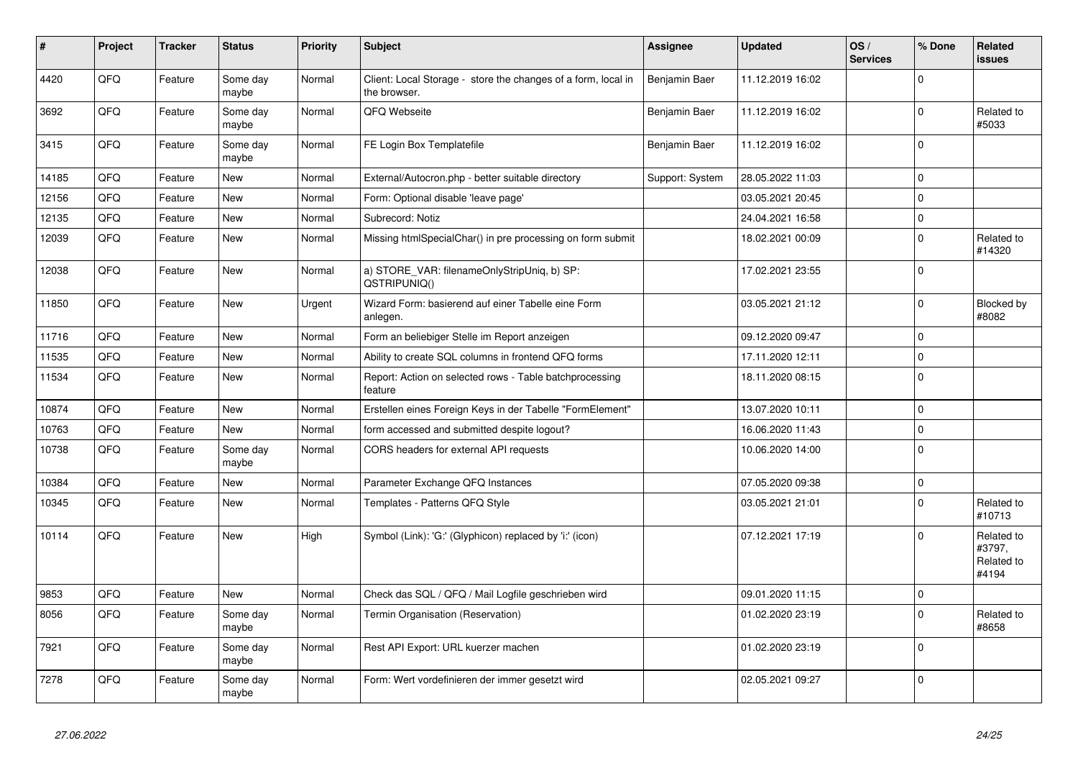| #     | Project | <b>Tracker</b> | <b>Status</b>     | <b>Priority</b> | <b>Subject</b>                                                                | Assignee        | <b>Updated</b>   | OS/<br><b>Services</b> | % Done      | Related<br><b>issues</b>                    |
|-------|---------|----------------|-------------------|-----------------|-------------------------------------------------------------------------------|-----------------|------------------|------------------------|-------------|---------------------------------------------|
| 4420  | QFQ     | Feature        | Some day<br>maybe | Normal          | Client: Local Storage - store the changes of a form, local in<br>the browser. | Benjamin Baer   | 11.12.2019 16:02 |                        | $\Omega$    |                                             |
| 3692  | QFQ     | Feature        | Some day<br>maybe | Normal          | QFQ Webseite                                                                  | Benjamin Baer   | 11.12.2019 16:02 |                        | $\mathbf 0$ | Related to<br>#5033                         |
| 3415  | QFQ     | Feature        | Some day<br>maybe | Normal          | FE Login Box Templatefile                                                     | Benjamin Baer   | 11.12.2019 16:02 |                        | $\mathbf 0$ |                                             |
| 14185 | QFQ     | Feature        | <b>New</b>        | Normal          | External/Autocron.php - better suitable directory                             | Support: System | 28.05.2022 11:03 |                        | $\mathbf 0$ |                                             |
| 12156 | QFQ     | Feature        | <b>New</b>        | Normal          | Form: Optional disable 'leave page'                                           |                 | 03.05.2021 20:45 |                        | $\mathbf 0$ |                                             |
| 12135 | QFQ     | Feature        | <b>New</b>        | Normal          | Subrecord: Notiz                                                              |                 | 24.04.2021 16:58 |                        | $\mathbf 0$ |                                             |
| 12039 | QFQ     | Feature        | <b>New</b>        | Normal          | Missing htmlSpecialChar() in pre processing on form submit                    |                 | 18.02.2021 00:09 |                        | $\mathbf 0$ | Related to<br>#14320                        |
| 12038 | QFQ     | Feature        | <b>New</b>        | Normal          | a) STORE VAR: filenameOnlyStripUniq, b) SP:<br>QSTRIPUNIQ()                   |                 | 17.02.2021 23:55 |                        | $\mathbf 0$ |                                             |
| 11850 | QFQ     | Feature        | <b>New</b>        | Urgent          | Wizard Form: basierend auf einer Tabelle eine Form<br>anlegen.                |                 | 03.05.2021 21:12 |                        | $\Omega$    | Blocked by<br>#8082                         |
| 11716 | QFQ     | Feature        | <b>New</b>        | Normal          | Form an beliebiger Stelle im Report anzeigen                                  |                 | 09.12.2020 09:47 |                        | $\mathbf 0$ |                                             |
| 11535 | QFQ     | Feature        | <b>New</b>        | Normal          | Ability to create SQL columns in frontend QFQ forms                           |                 | 17.11.2020 12:11 |                        | $\Omega$    |                                             |
| 11534 | QFQ     | Feature        | <b>New</b>        | Normal          | Report: Action on selected rows - Table batchprocessing<br>feature            |                 | 18.11.2020 08:15 |                        | $\mathbf 0$ |                                             |
| 10874 | QFQ     | Feature        | <b>New</b>        | Normal          | Erstellen eines Foreign Keys in der Tabelle "FormElement"                     |                 | 13.07.2020 10:11 |                        | $\Omega$    |                                             |
| 10763 | QFQ     | Feature        | <b>New</b>        | Normal          | form accessed and submitted despite logout?                                   |                 | 16.06.2020 11:43 |                        | $\mathbf 0$ |                                             |
| 10738 | QFQ     | Feature        | Some day<br>maybe | Normal          | CORS headers for external API requests                                        |                 | 10.06.2020 14:00 |                        | $\mathbf 0$ |                                             |
| 10384 | QFQ     | Feature        | <b>New</b>        | Normal          | Parameter Exchange QFQ Instances                                              |                 | 07.05.2020 09:38 |                        | $\mathbf 0$ |                                             |
| 10345 | QFQ     | Feature        | <b>New</b>        | Normal          | Templates - Patterns QFQ Style                                                |                 | 03.05.2021 21:01 |                        | $\mathbf 0$ | Related to<br>#10713                        |
| 10114 | QFQ     | Feature        | New               | High            | Symbol (Link): 'G:' (Glyphicon) replaced by 'i:' (icon)                       |                 | 07.12.2021 17:19 |                        | $\Omega$    | Related to<br>#3797,<br>Related to<br>#4194 |
| 9853  | QFQ     | Feature        | <b>New</b>        | Normal          | Check das SQL / QFQ / Mail Logfile geschrieben wird                           |                 | 09.01.2020 11:15 |                        | $\mathbf 0$ |                                             |
| 8056  | QFQ     | Feature        | Some day<br>maybe | Normal          | Termin Organisation (Reservation)                                             |                 | 01.02.2020 23:19 |                        | $\mathbf 0$ | Related to<br>#8658                         |
| 7921  | QFQ     | Feature        | Some day<br>maybe | Normal          | Rest API Export: URL kuerzer machen                                           |                 | 01.02.2020 23:19 |                        | $\Omega$    |                                             |
| 7278  | QFQ     | Feature        | Some day<br>maybe | Normal          | Form: Wert vordefinieren der immer gesetzt wird                               |                 | 02.05.2021 09:27 |                        | $\mathbf 0$ |                                             |